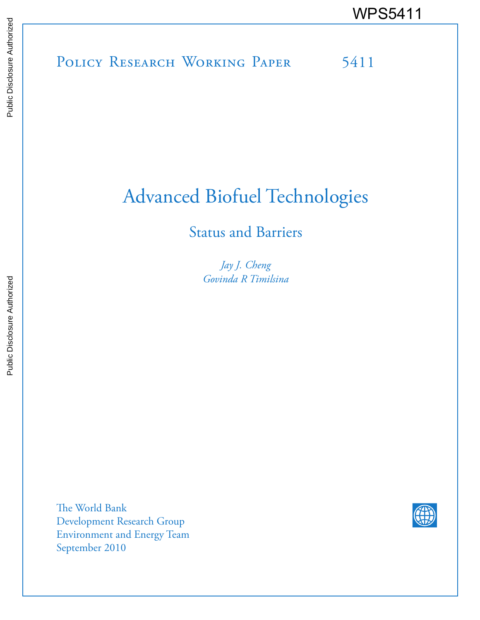# POLICY RESEARCH WORKING PAPER 5411 WPS5411<br>
MESS411<br>
MESSEARCH WORKING PAPER<br>
SERIES 5411

# Advanced Biofuel Technologies

Status and Barriers

*Jay J. Cheng Govinda R Timilsina*

The World Bank Development Research Group Environment and Energy Team September 2010

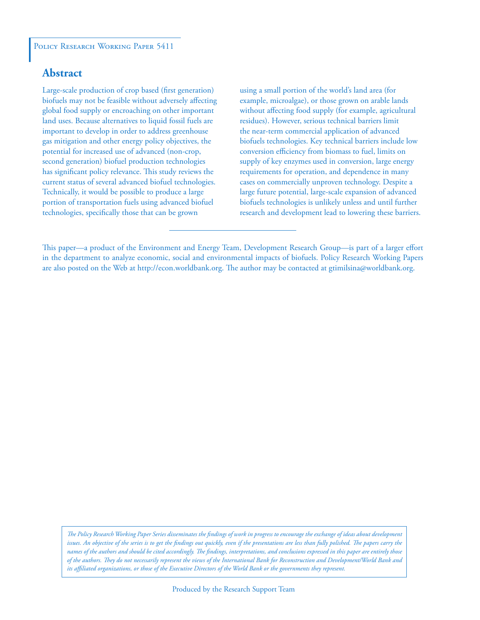#### POLICY RESEARCH WORKING PAPER 5411

# **Abstract**

Large-scale production of crop based (first generation) biofuels may not be feasible without adversely affecting global food supply or encroaching on other important land uses. Because alternatives to liquid fossil fuels are important to develop in order to address greenhouse gas mitigation and other energy policy objectives, the potential for increased use of advanced (non-crop, second generation) biofuel production technologies has significant policy relevance. This study reviews the current status of several advanced biofuel technologies. Technically, it would be possible to produce a large portion of transportation fuels using advanced biofuel technologies, specifically those that can be grown

using a small portion of the world's land area (for example, microalgae), or those grown on arable lands without affecting food supply (for example, agricultural residues). However, serious technical barriers limit the near-term commercial application of advanced biofuels technologies. Key technical barriers include low conversion efficiency from biomass to fuel, limits on supply of key enzymes used in conversion, large energy requirements for operation, and dependence in many cases on commercially unproven technology. Despite a large future potential, large-scale expansion of advanced biofuels technologies is unlikely unless and until further research and development lead to lowering these barriers.

This paper—a product of the Environment and Energy Team, Development Research Group—is part of a larger effort in the department to analyze economic, social and environmental impacts of biofuels. Policy Research Working Papers are also posted on the Web at http://econ.worldbank.org. The author may be contacted at gtimilsina@worldbank.org.

*The Policy Research Working Paper Series disseminates the findings of work in progress to encourage the exchange of ideas about development*  issues. An objective of the series is to get the findings out quickly, even if the presentations are less than fully polished. The papers carry the *names of the authors and should be cited accordingly. The findings, interpretations, and conclusions expressed in this paper are entirely those of the authors. They do not necessarily represent the views of the International Bank for Reconstruction and Development/World Bank and its affiliated organizations, or those of the Executive Directors of the World Bank or the governments they represent.*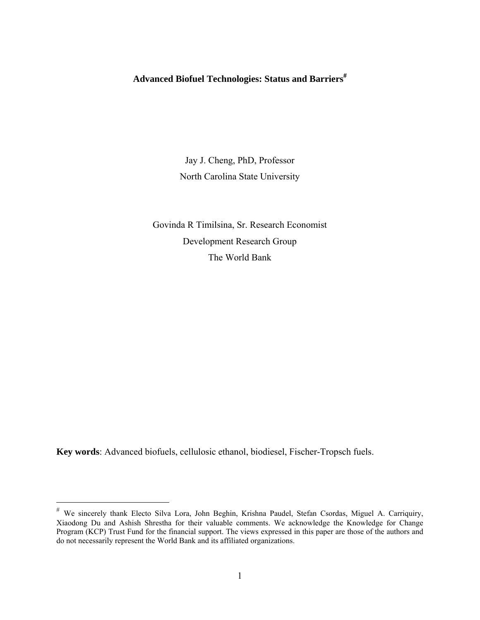# **Advanced Biofuel Technologies: Status and Barriers**

Jay J. Cheng, PhD, Professor North Carolina State University

Govinda R Timilsina, Sr. Research Economist Development Research Group The World Bank

**Key words**: Advanced biofuels, cellulosic ethanol, biodiesel, Fischer-Tropsch fuels.

 $\overline{a}$ 

We sincerely thank Electo Silva Lora, John Beghin, Krishna Paudel, Stefan Csordas, Miguel A. Carriquiry, Xiaodong Du and Ashish Shrestha for their valuable comments. We acknowledge the Knowledge for Change Program (KCP) Trust Fund for the financial support. The views expressed in this paper are those of the authors and do not necessarily represent the World Bank and its affiliated organizations.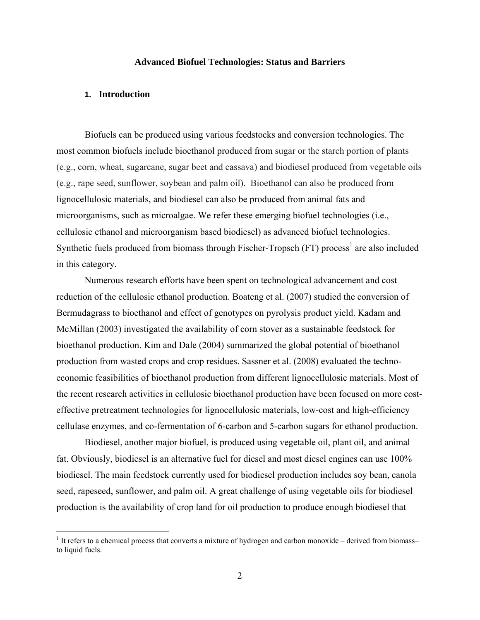#### **Advanced Biofuel Technologies: Status and Barriers**

# **1. Introduction**

 $\overline{a}$ 

Biofuels can be produced using various feedstocks and conversion technologies. The most common biofuels include bioethanol produced from sugar or the starch portion of plants (e.g., corn, wheat, sugarcane, sugar beet and cassava) and biodiesel produced from vegetable oils (e.g., rape seed, sunflower, soybean and palm oil). Bioethanol can also be produced from lignocellulosic materials, and biodiesel can also be produced from animal fats and microorganisms, such as microalgae. We refer these emerging biofuel technologies (i.e., cellulosic ethanol and microorganism based biodiesel) as advanced biofuel technologies. Synthetic fuels produced from biomass through Fischer-Tropsch  $(FT)$  process<sup>1</sup> are also included in this category.

Numerous research efforts have been spent on technological advancement and cost reduction of the cellulosic ethanol production. Boateng et al. (2007) studied the conversion of Bermudagrass to bioethanol and effect of genotypes on pyrolysis product yield. Kadam and McMillan (2003) investigated the availability of corn stover as a sustainable feedstock for bioethanol production. Kim and Dale (2004) summarized the global potential of bioethanol production from wasted crops and crop residues. Sassner et al. (2008) evaluated the technoeconomic feasibilities of bioethanol production from different lignocellulosic materials. Most of the recent research activities in cellulosic bioethanol production have been focused on more costeffective pretreatment technologies for lignocellulosic materials, low-cost and high-efficiency cellulase enzymes, and co-fermentation of 6-carbon and 5-carbon sugars for ethanol production.

Biodiesel, another major biofuel, is produced using vegetable oil, plant oil, and animal fat. Obviously, biodiesel is an alternative fuel for diesel and most diesel engines can use 100% biodiesel. The main feedstock currently used for biodiesel production includes soy bean, canola seed, rapeseed, sunflower, and palm oil. A great challenge of using vegetable oils for biodiesel production is the availability of crop land for oil production to produce enough biodiesel that

 $<sup>1</sup>$  It refers to a chemical process that converts a mixture of hydrogen and carbon monoxide – derived from biomass–</sup> to liquid fuels.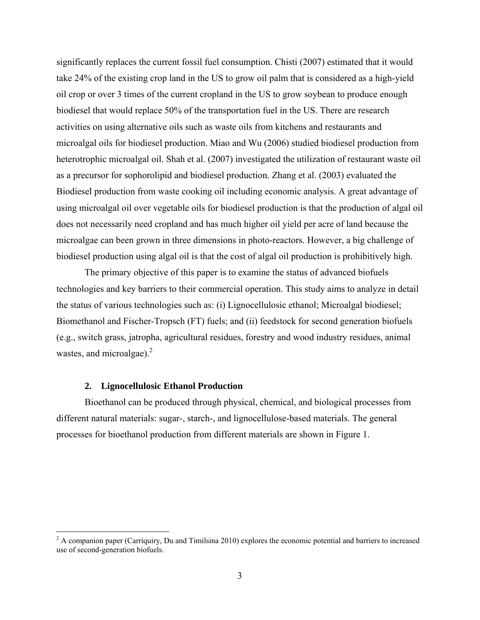significantly replaces the current fossil fuel consumption. Chisti (2007) estimated that it would take 24% of the existing crop land in the US to grow oil palm that is considered as a high-yield oil crop or over 3 times of the current cropland in the US to grow soybean to produce enough biodiesel that would replace 50% of the transportation fuel in the US. There are research activities on using alternative oils such as waste oils from kitchens and restaurants and microalgal oils for biodiesel production. Miao and Wu (2006) studied biodiesel production from heterotrophic microalgal oil. Shah et al. (2007) investigated the utilization of restaurant waste oil as a precursor for sophorolipid and biodiesel production. Zhang et al. (2003) evaluated the Biodiesel production from waste cooking oil including economic analysis. A great advantage of using microalgal oil over vegetable oils for biodiesel production is that the production of algal oil does not necessarily need cropland and has much higher oil yield per acre of land because the microalgae can been grown in three dimensions in photo-reactors. However, a big challenge of biodiesel production using algal oil is that the cost of algal oil production is prohibitively high.

The primary objective of this paper is to examine the status of advanced biofuels technologies and key barriers to their commercial operation. This study aims to analyze in detail the status of various technologies such as: (i) Lignocellulosic ethanol; Microalgal biodiesel; Biomethanol and Fischer-Tropsch (FT) fuels; and (ii) feedstock for second generation biofuels (e.g., switch grass, jatropha, agricultural residues, forestry and wood industry residues, animal wastes, and microalgae). $2$ 

#### **2. Lignocellulosic Ethanol Production**

 $\overline{a}$ 

Bioethanol can be produced through physical, chemical, and biological processes from different natural materials: sugar-, starch-, and lignocellulose-based materials. The general processes for bioethanol production from different materials are shown in Figure 1.

 $2$  A companion paper (Carriquiry, Du and Timilsina 2010) explores the economic potential and barriers to increased use of second-generation biofuels.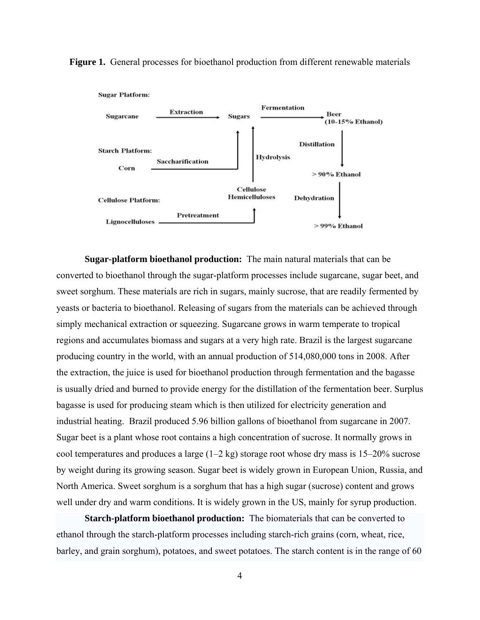

**Figure 1.** General processes for bioethanol production from different renewable materials

**Sugar-platform bioethanol production:** The main natural materials that can be converted to bioethanol through the sugar-platform processes include sugarcane, sugar beet, and sweet sorghum. These materials are rich in sugars, mainly sucrose, that are readily fermented by yeasts or bacteria to bioethanol. Releasing of sugars from the materials can be achieved through simply mechanical extraction or squeezing. Sugarcane grows in warm temperate to tropical regions and accumulates biomass and sugars at a very high rate. Brazil is the largest sugarcane producing country in the world, with an annual production of 514,080,000 tons in 2008. After the extraction, the juice is used for bioethanol production through fermentation and the bagasse is usually dried and burned to provide energy for the distillation of the fermentation beer. Surplus bagasse is used for producing steam which is then utilized for electricity generation and industrial heating. Brazil produced 5.96 billion gallons of bioethanol from sugarcane in 2007. Sugar beet is a plant whose root contains a high concentration of sucrose. It normally grows in cool temperatures and produces a large  $(1-2 \text{ kg})$  storage root whose dry mass is  $15-20\%$  sucrose by weight during its growing season. Sugar beet is widely grown in European Union, Russia, and North America. Sweet sorghum is a sorghum that has a high sugar (sucrose) content and grows well under dry and warm conditions. It is widely grown in the US, mainly for syrup production.

**Starch-platform bioethanol production:** The biomaterials that can be converted to ethanol through the starch-platform processes including starch-rich grains (corn, wheat, rice, barley, and grain sorghum), potatoes, and sweet potatoes. The starch content is in the range of 60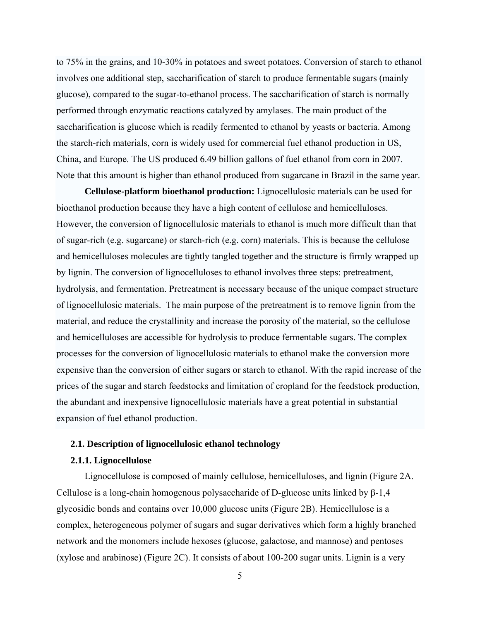to 75% in the grains, and 10-30% in potatoes and sweet potatoes. Conversion of starch to ethanol involves one additional step, saccharification of starch to produce fermentable sugars (mainly glucose), compared to the sugar-to-ethanol process. The saccharification of starch is normally performed through enzymatic reactions catalyzed by amylases. The main product of the saccharification is glucose which is readily fermented to ethanol by yeasts or bacteria. Among the starch-rich materials, corn is widely used for commercial fuel ethanol production in US, China, and Europe. The US produced 6.49 billion gallons of fuel ethanol from corn in 2007. Note that this amount is higher than ethanol produced from sugarcane in Brazil in the same year.

**Cellulose-platform bioethanol production:** Lignocellulosic materials can be used for bioethanol production because they have a high content of cellulose and hemicelluloses. However, the conversion of lignocellulosic materials to ethanol is much more difficult than that of sugar-rich (e.g. sugarcane) or starch-rich (e.g. corn) materials. This is because the cellulose and hemicelluloses molecules are tightly tangled together and the structure is firmly wrapped up by lignin. The conversion of lignocelluloses to ethanol involves three steps: pretreatment, hydrolysis, and fermentation. Pretreatment is necessary because of the unique compact structure of lignocellulosic materials. The main purpose of the pretreatment is to remove lignin from the material, and reduce the crystallinity and increase the porosity of the material, so the cellulose and hemicelluloses are accessible for hydrolysis to produce fermentable sugars. The complex processes for the conversion of lignocellulosic materials to ethanol make the conversion more expensive than the conversion of either sugars or starch to ethanol. With the rapid increase of the prices of the sugar and starch feedstocks and limitation of cropland for the feedstock production, the abundant and inexpensive lignocellulosic materials have a great potential in substantial expansion of fuel ethanol production.

#### **2.1. Description of lignocellulosic ethanol technology**

#### **2.1.1. Lignocellulose**

Lignocellulose is composed of mainly cellulose, hemicelluloses, and lignin (Figure 2A. Cellulose is a long-chain homogenous polysaccharide of D-glucose units linked by β-1,4 glycosidic bonds and contains over 10,000 glucose units (Figure 2B). Hemicellulose is a complex, heterogeneous polymer of sugars and sugar derivatives which form a highly branched network and the monomers include hexoses (glucose, galactose, and mannose) and pentoses (xylose and arabinose) (Figure 2C). It consists of about 100-200 sugar units. Lignin is a very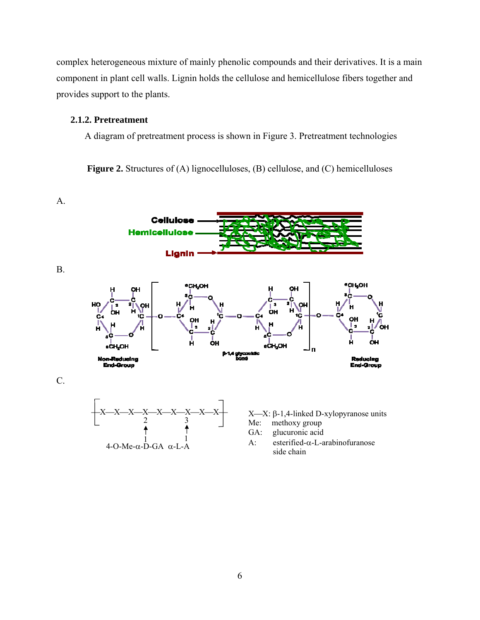complex heterogeneous mixture of mainly phenolic compounds and their derivatives. It is a main component in plant cell walls. Lignin holds the cellulose and hemicellulose fibers together and provides support to the plants.

# **2.1.2. Pretreatment**

A diagram of pretreatment process is shown in Figure 3. Pretreatment technologies

**Figure 2.** Structures of (A) lignocelluloses, (B) cellulose, and (C) hemicelluloses

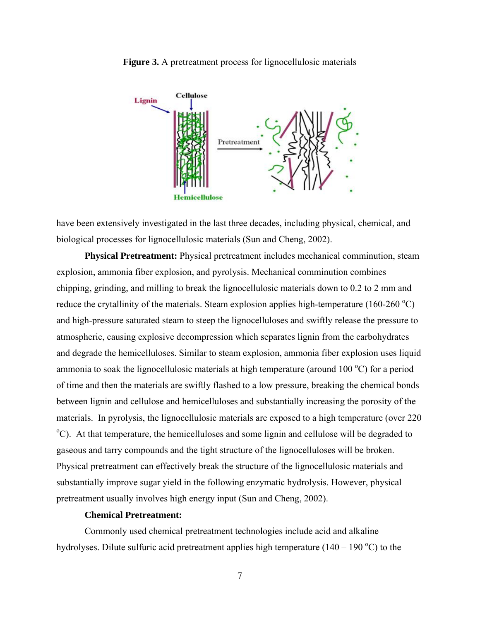



have been extensively investigated in the last three decades, including physical, chemical, and biological processes for lignocellulosic materials (Sun and Cheng, 2002).

**Physical Pretreatment:** Physical pretreatment includes mechanical comminution, steam explosion, ammonia fiber explosion, and pyrolysis. Mechanical comminution combines chipping, grinding, and milling to break the lignocellulosic materials down to 0.2 to 2 mm and reduce the crytallinity of the materials. Steam explosion applies high-temperature (160-260  $^{\circ}$ C) and high-pressure saturated steam to steep the lignocelluloses and swiftly release the pressure to atmospheric, causing explosive decompression which separates lignin from the carbohydrates and degrade the hemicelluloses. Similar to steam explosion, ammonia fiber explosion uses liquid ammonia to soak the lignocellulosic materials at high temperature (around  $100^{\circ}$ C) for a period of time and then the materials are swiftly flashed to a low pressure, breaking the chemical bonds between lignin and cellulose and hemicelluloses and substantially increasing the porosity of the materials. In pyrolysis, the lignocellulosic materials are exposed to a high temperature (over 220 <sup>o</sup>C). At that temperature, the hemicelluloses and some lignin and cellulose will be degraded to gaseous and tarry compounds and the tight structure of the lignocelluloses will be broken. Physical pretreatment can effectively break the structure of the lignocellulosic materials and substantially improve sugar yield in the following enzymatic hydrolysis. However, physical pretreatment usually involves high energy input (Sun and Cheng, 2002).

#### **Chemical Pretreatment:**

Commonly used chemical pretreatment technologies include acid and alkaline hydrolyses. Dilute sulfuric acid pretreatment applies high temperature  $(140 - 190 \degree C)$  to the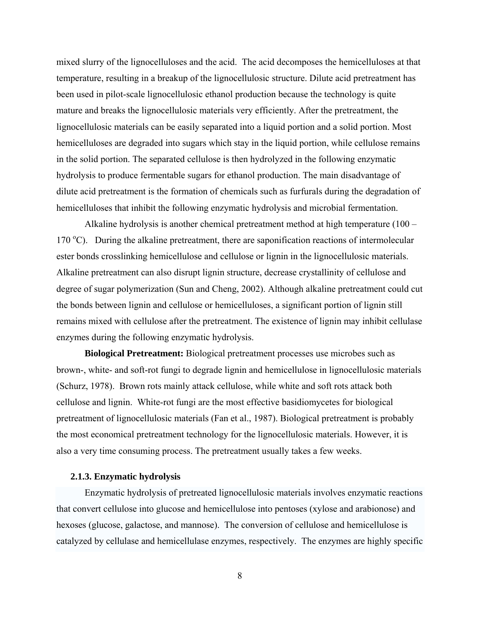mixed slurry of the lignocelluloses and the acid. The acid decomposes the hemicelluloses at that temperature, resulting in a breakup of the lignocellulosic structure. Dilute acid pretreatment has been used in pilot-scale lignocellulosic ethanol production because the technology is quite mature and breaks the lignocellulosic materials very efficiently. After the pretreatment, the lignocellulosic materials can be easily separated into a liquid portion and a solid portion. Most hemicelluloses are degraded into sugars which stay in the liquid portion, while cellulose remains in the solid portion. The separated cellulose is then hydrolyzed in the following enzymatic hydrolysis to produce fermentable sugars for ethanol production. The main disadvantage of dilute acid pretreatment is the formation of chemicals such as furfurals during the degradation of hemicelluloses that inhibit the following enzymatic hydrolysis and microbial fermentation.

Alkaline hydrolysis is another chemical pretreatment method at high temperature (100 – 170 °C). During the alkaline pretreatment, there are saponification reactions of intermolecular ester bonds crosslinking hemicellulose and cellulose or lignin in the lignocellulosic materials. Alkaline pretreatment can also disrupt lignin structure, decrease crystallinity of cellulose and degree of sugar polymerization (Sun and Cheng, 2002). Although alkaline pretreatment could cut the bonds between lignin and cellulose or hemicelluloses, a significant portion of lignin still remains mixed with cellulose after the pretreatment. The existence of lignin may inhibit cellulase enzymes during the following enzymatic hydrolysis.

**Biological Pretreatment:** Biological pretreatment processes use microbes such as brown-, white- and soft-rot fungi to degrade lignin and hemicellulose in lignocellulosic materials (Schurz, 1978). Brown rots mainly attack cellulose, while white and soft rots attack both cellulose and lignin. White-rot fungi are the most effective basidiomycetes for biological pretreatment of lignocellulosic materials (Fan et al., 1987). Biological pretreatment is probably the most economical pretreatment technology for the lignocellulosic materials. However, it is also a very time consuming process. The pretreatment usually takes a few weeks.

#### **2.1.3. Enzymatic hydrolysis**

Enzymatic hydrolysis of pretreated lignocellulosic materials involves enzymatic reactions that convert cellulose into glucose and hemicellulose into pentoses (xylose and arabionose) and hexoses (glucose, galactose, and mannose). The conversion of cellulose and hemicellulose is catalyzed by cellulase and hemicellulase enzymes, respectively. The enzymes are highly specific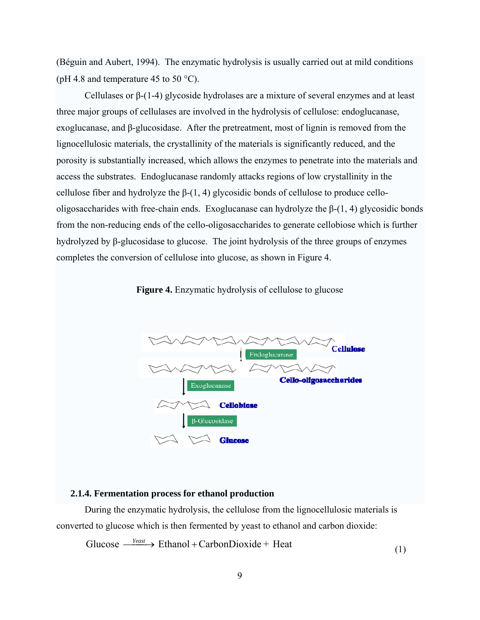(Béguin and Aubert, 1994). The enzymatic hydrolysis is usually carried out at mild conditions (pH 4.8 and temperature 45 to 50  $^{\circ}$ C).

Cellulases or β-(1-4) glycoside hydrolases are a mixture of several enzymes and at least three major groups of cellulases are involved in the hydrolysis of cellulose: endoglucanase, exoglucanase, and β-glucosidase. After the pretreatment, most of lignin is removed from the lignocellulosic materials, the crystallinity of the materials is significantly reduced, and the porosity is substantially increased, which allows the enzymes to penetrate into the materials and access the substrates. Endoglucanase randomly attacks regions of low crystallinity in the cellulose fiber and hydrolyze the  $\beta$ -(1, 4) glycosidic bonds of cellulose to produce cellooligosaccharides with free-chain ends. Exoglucanase can hydrolyze the β-(1, 4) glycosidic bonds from the non-reducing ends of the cello-oligosaccharides to generate cellobiose which is further hydrolyzed by β-glucosidase to glucose. The joint hydrolysis of the three groups of enzymes completes the conversion of cellulose into glucose, as shown in Figure 4.





#### **2.1.4. Fermentation process for ethanol production**

During the enzymatic hydrolysis, the cellulose from the lignocellulosic materials is converted to glucose which is then fermented by yeast to ethanol and carbon dioxide:

 $Glucose \xrightarrow{Yeast} Ethanol + CarbonDioxide + Heat$ (1)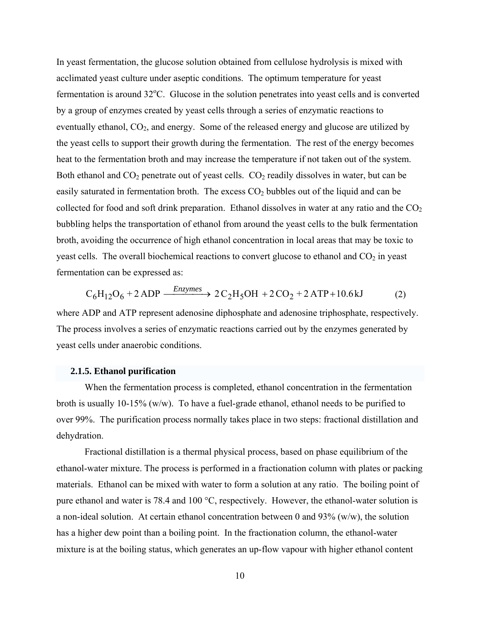In yeast fermentation, the glucose solution obtained from cellulose hydrolysis is mixed with acclimated yeast culture under aseptic conditions. The optimum temperature for yeast fermentation is around 32°C. Glucose in the solution penetrates into yeast cells and is converted by a group of enzymes created by yeast cells through a series of enzymatic reactions to eventually ethanol,  $CO<sub>2</sub>$ , and energy. Some of the released energy and glucose are utilized by the yeast cells to support their growth during the fermentation. The rest of the energy becomes heat to the fermentation broth and may increase the temperature if not taken out of the system. Both ethanol and  $CO_2$  penetrate out of yeast cells.  $CO_2$  readily dissolves in water, but can be easily saturated in fermentation broth. The excess  $CO<sub>2</sub>$  bubbles out of the liquid and can be collected for food and soft drink preparation. Ethanol dissolves in water at any ratio and the  $CO<sub>2</sub>$ bubbling helps the transportation of ethanol from around the yeast cells to the bulk fermentation broth, avoiding the occurrence of high ethanol concentration in local areas that may be toxic to yeast cells. The overall biochemical reactions to convert glucose to ethanol and  $CO<sub>2</sub>$  in yeast fermentation can be expressed as:

$$
C_6H_{12}O_6 + 2 ADP \xrightarrow{Enzymes} 2 C_2H_5OH + 2 CO_2 + 2 ATP + 10.6 kJ \tag{2}
$$

where ADP and ATP represent adenosine diphosphate and adenosine triphosphate, respectively. The process involves a series of enzymatic reactions carried out by the enzymes generated by yeast cells under anaerobic conditions.

#### **2.1.5. Ethanol purification**

 When the fermentation process is completed, ethanol concentration in the fermentation broth is usually 10-15% (w/w). To have a fuel-grade ethanol, ethanol needs to be purified to over 99%. The purification process normally takes place in two steps: fractional distillation and dehydration.

 Fractional distillation is a thermal physical process, based on phase equilibrium of the ethanol-water mixture. The process is performed in a fractionation column with plates or packing materials. Ethanol can be mixed with water to form a solution at any ratio. The boiling point of pure ethanol and water is 78.4 and 100 °C, respectively. However, the ethanol-water solution is a non-ideal solution. At certain ethanol concentration between 0 and 93% (w/w), the solution has a higher dew point than a boiling point. In the fractionation column, the ethanol-water mixture is at the boiling status, which generates an up-flow vapour with higher ethanol content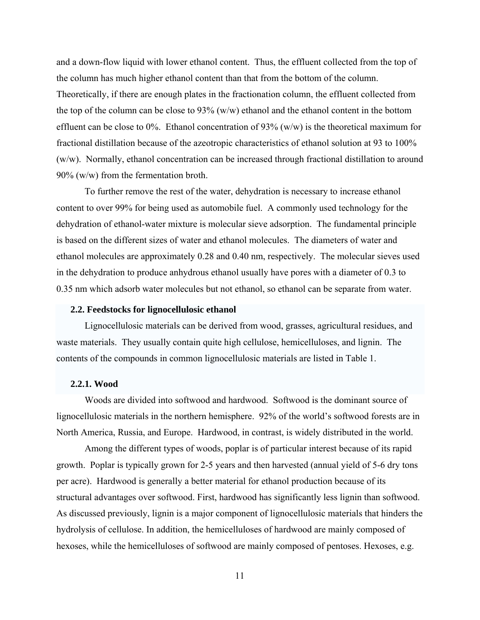and a down-flow liquid with lower ethanol content. Thus, the effluent collected from the top of the column has much higher ethanol content than that from the bottom of the column. Theoretically, if there are enough plates in the fractionation column, the effluent collected from the top of the column can be close to 93% (w/w) ethanol and the ethanol content in the bottom effluent can be close to 0%. Ethanol concentration of 93%  $(w/w)$  is the theoretical maximum for fractional distillation because of the azeotropic characteristics of ethanol solution at 93 to 100% (w/w). Normally, ethanol concentration can be increased through fractional distillation to around 90% (w/w) from the fermentation broth.

To further remove the rest of the water, dehydration is necessary to increase ethanol content to over 99% for being used as automobile fuel. A commonly used technology for the dehydration of ethanol-water mixture is molecular sieve adsorption. The fundamental principle is based on the different sizes of water and ethanol molecules. The diameters of water and ethanol molecules are approximately 0.28 and 0.40 nm, respectively. The molecular sieves used in the dehydration to produce anhydrous ethanol usually have pores with a diameter of 0.3 to 0.35 nm which adsorb water molecules but not ethanol, so ethanol can be separate from water.

#### **2.2. Feedstocks for lignocellulosic ethanol**

Lignocellulosic materials can be derived from wood, grasses, agricultural residues, and waste materials. They usually contain quite high cellulose, hemicelluloses, and lignin. The contents of the compounds in common lignocellulosic materials are listed in Table 1.

#### **2.2.1. Wood**

Woods are divided into softwood and hardwood. Softwood is the dominant source of lignocellulosic materials in the northern hemisphere. 92% of the world's softwood forests are in North America, Russia, and Europe. Hardwood, in contrast, is widely distributed in the world.

Among the different types of woods, poplar is of particular interest because of its rapid growth. Poplar is typically grown for 2-5 years and then harvested (annual yield of 5-6 dry tons per acre). Hardwood is generally a better material for ethanol production because of its structural advantages over softwood. First, hardwood has significantly less lignin than softwood. As discussed previously, lignin is a major component of lignocellulosic materials that hinders the hydrolysis of cellulose. In addition, the hemicelluloses of hardwood are mainly composed of hexoses, while the hemicelluloses of softwood are mainly composed of pentoses. Hexoses, e.g.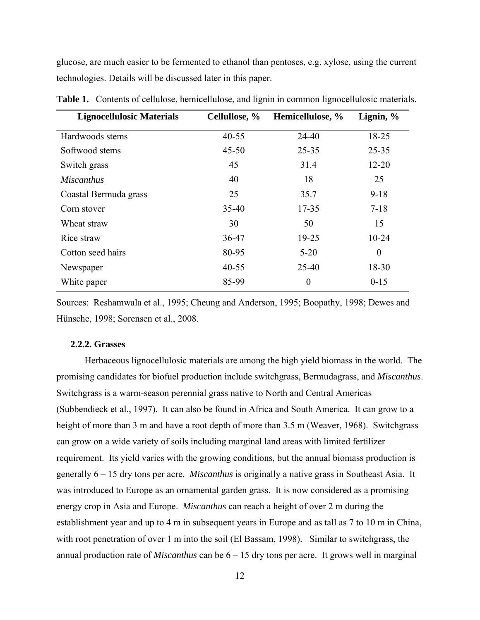glucose, are much easier to be fermented to ethanol than pentoses, e.g. xylose, using the current technologies. Details will be discussed later in this paper.

| <b>Lignocellulosic Materials</b> | Cellullose, % | Hemicellulose, % | Lignin, $\%$     |
|----------------------------------|---------------|------------------|------------------|
| Hardwoods stems                  | $40 - 55$     | 24-40            | 18-25            |
| Softwood stems                   | $45 - 50$     | $25 - 35$        | $25 - 35$        |
| Switch grass                     | 45            | 31.4             | $12 - 20$        |
| <i>Miscanthus</i>                | 40            | 18               | 25               |
| Coastal Bermuda grass            | 25            | 35.7             | $9 - 18$         |
| Corn stover                      | $35-40$       | $17 - 35$        | $7 - 18$         |
| Wheat straw                      | 30            | 50               | 15               |
| Rice straw                       | 36-47         | 19-25            | $10 - 24$        |
| Cotton seed hairs                | 80-95         | $5 - 20$         | $\boldsymbol{0}$ |
| Newspaper                        | $40 - 55$     | $25 - 40$        | 18-30            |
| White paper                      | 85-99         | $\theta$         | $0 - 15$         |

**Table 1.** Contents of cellulose, hemicellulose, and lignin in common lignocellulosic materials.

Sources: Reshamwala et al., 1995; Cheung and Anderson, 1995; Boopathy, 1998; Dewes and Hünsche, 1998; Sorensen et al., 2008.

#### **2.2.2. Grasses**

Herbaceous lignocellulosic materials are among the high yield biomass in the world. The promising candidates for biofuel production include switchgrass, Bermudagrass, and *Miscanthus*. Switchgrass is a warm-season perennial grass native to North and Central Americas (Subbendieck et al., 1997). It can also be found in Africa and South America. It can grow to a height of more than 3 m and have a root depth of more than 3.5 m (Weaver, 1968). Switchgrass can grow on a wide variety of soils including marginal land areas with limited fertilizer requirement. Its yield varies with the growing conditions, but the annual biomass production is generally 6 – 15 dry tons per acre. *Miscanthus* is originally a native grass in Southeast Asia. It was introduced to Europe as an ornamental garden grass. It is now considered as a promising energy crop in Asia and Europe. *Miscanthus* can reach a height of over 2 m during the establishment year and up to 4 m in subsequent years in Europe and as tall as 7 to 10 m in China, with root penetration of over 1 m into the soil (El Bassam, 1998). Similar to switchgrass, the annual production rate of *Miscanthus* can be 6 – 15 dry tons per acre. It grows well in marginal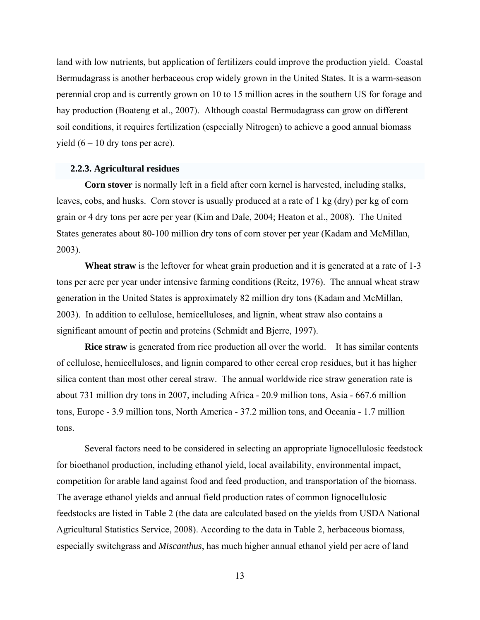land with low nutrients, but application of fertilizers could improve the production yield. Coastal Bermudagrass is another herbaceous crop widely grown in the United States. It is a warm-season perennial crop and is currently grown on 10 to 15 million acres in the southern US for forage and hay production (Boateng et al., 2007). Although coastal Bermudagrass can grow on different soil conditions, it requires fertilization (especially Nitrogen) to achieve a good annual biomass yield  $(6 - 10$  dry tons per acre).

#### **2.2.3. Agricultural residues**

**Corn stover** is normally left in a field after corn kernel is harvested, including stalks, leaves, cobs, and husks. Corn stover is usually produced at a rate of 1 kg (dry) per kg of corn grain or 4 dry tons per acre per year (Kim and Dale, 2004; Heaton et al., 2008). The United States generates about 80-100 million dry tons of corn stover per year (Kadam and McMillan, 2003).

**Wheat straw** is the leftover for wheat grain production and it is generated at a rate of 1-3 tons per acre per year under intensive farming conditions (Reitz, 1976). The annual wheat straw generation in the United States is approximately 82 million dry tons (Kadam and McMillan, 2003). In addition to cellulose, hemicelluloses, and lignin, wheat straw also contains a significant amount of pectin and proteins (Schmidt and Bjerre, 1997).

**Rice straw** is generated from rice production all over the world. It has similar contents of cellulose, hemicelluloses, and lignin compared to other cereal crop residues, but it has higher silica content than most other cereal straw. The annual worldwide rice straw generation rate is about 731 million dry tons in 2007, including Africa - 20.9 million tons, Asia - 667.6 million tons, Europe - 3.9 million tons, North America - 37.2 million tons, and Oceania - 1.7 million tons.

Several factors need to be considered in selecting an appropriate lignocellulosic feedstock for bioethanol production, including ethanol yield, local availability, environmental impact, competition for arable land against food and feed production, and transportation of the biomass. The average ethanol yields and annual field production rates of common lignocellulosic feedstocks are listed in Table 2 (the data are calculated based on the yields from USDA National Agricultural Statistics Service, 2008). According to the data in Table 2, herbaceous biomass, especially switchgrass and *Miscanthus*, has much higher annual ethanol yield per acre of land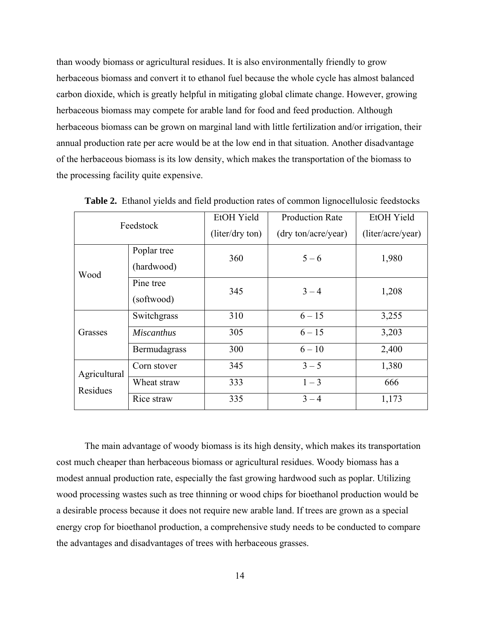than woody biomass or agricultural residues. It is also environmentally friendly to grow herbaceous biomass and convert it to ethanol fuel because the whole cycle has almost balanced carbon dioxide, which is greatly helpful in mitigating global climate change. However, growing herbaceous biomass may compete for arable land for food and feed production. Although herbaceous biomass can be grown on marginal land with little fertilization and/or irrigation, their annual production rate per acre would be at the low end in that situation. Another disadvantage of the herbaceous biomass is its low density, which makes the transportation of the biomass to the processing facility quite expensive.

| Feedstock                |                           | <b>EtOH</b> Yield | <b>Production Rate</b> | <b>EtOH</b> Yield |
|--------------------------|---------------------------|-------------------|------------------------|-------------------|
|                          |                           | (liter/dry ton)   | (dry ton/acre/year)    | (liter/acre/year) |
| Wood                     | Poplar tree<br>(hardwood) | 360               | $5 - 6$                | 1,980             |
|                          | Pine tree<br>(softwood)   | 345               | $3 - 4$                | 1,208             |
| Grasses                  | Switchgrass               | 310               | $6 - 15$               | 3,255             |
|                          | <b>Miscanthus</b>         | 305               | $6 - 15$               | 3,203             |
|                          | Bermudagrass              | 300               | $6 - 10$               | 2,400             |
| Agricultural<br>Residues | Corn stover               | 345               | $3 - 5$                | 1,380             |
|                          | Wheat straw               | 333               | $1 - 3$                | 666               |
|                          | Rice straw                | 335               | $3 - 4$                | 1,173             |

**Table 2.** Ethanol yields and field production rates of common lignocellulosic feedstocks

The main advantage of woody biomass is its high density, which makes its transportation cost much cheaper than herbaceous biomass or agricultural residues. Woody biomass has a modest annual production rate, especially the fast growing hardwood such as poplar. Utilizing wood processing wastes such as tree thinning or wood chips for bioethanol production would be a desirable process because it does not require new arable land. If trees are grown as a special energy crop for bioethanol production, a comprehensive study needs to be conducted to compare the advantages and disadvantages of trees with herbaceous grasses.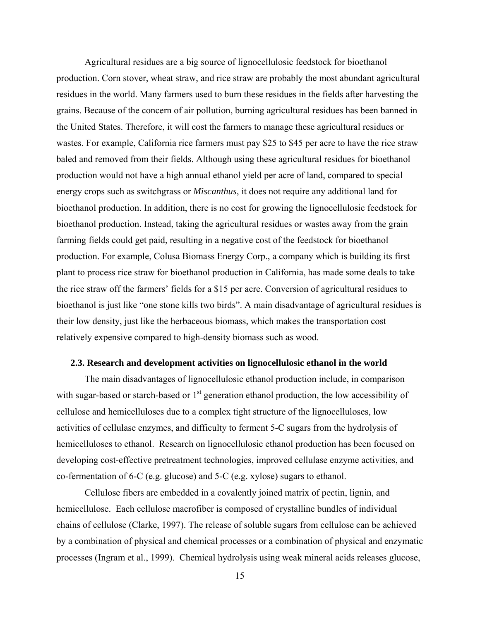Agricultural residues are a big source of lignocellulosic feedstock for bioethanol production. Corn stover, wheat straw, and rice straw are probably the most abundant agricultural residues in the world. Many farmers used to burn these residues in the fields after harvesting the grains. Because of the concern of air pollution, burning agricultural residues has been banned in the United States. Therefore, it will cost the farmers to manage these agricultural residues or wastes. For example, California rice farmers must pay \$25 to \$45 per acre to have the rice straw baled and removed from their fields. Although using these agricultural residues for bioethanol production would not have a high annual ethanol yield per acre of land, compared to special energy crops such as switchgrass or *Miscanthus*, it does not require any additional land for bioethanol production. In addition, there is no cost for growing the lignocellulosic feedstock for bioethanol production. Instead, taking the agricultural residues or wastes away from the grain farming fields could get paid, resulting in a negative cost of the feedstock for bioethanol production. For example, Colusa Biomass Energy Corp., a company which is building its first plant to process rice straw for bioethanol production in California, has made some deals to take the rice straw off the farmers' fields for a \$15 per acre. Conversion of agricultural residues to bioethanol is just like "one stone kills two birds". A main disadvantage of agricultural residues is their low density, just like the herbaceous biomass, which makes the transportation cost relatively expensive compared to high-density biomass such as wood.

#### **2.3. Research and development activities on lignocellulosic ethanol in the world**

The main disadvantages of lignocellulosic ethanol production include, in comparison with sugar-based or starch-based or 1<sup>st</sup> generation ethanol production, the low accessibility of cellulose and hemicelluloses due to a complex tight structure of the lignocelluloses, low activities of cellulase enzymes, and difficulty to ferment 5-C sugars from the hydrolysis of hemicelluloses to ethanol. Research on lignocellulosic ethanol production has been focused on developing cost-effective pretreatment technologies, improved cellulase enzyme activities, and co-fermentation of 6-C (e.g. glucose) and 5-C (e.g. xylose) sugars to ethanol.

Cellulose fibers are embedded in a covalently joined matrix of pectin, lignin, and hemicellulose. Each cellulose macrofiber is composed of crystalline bundles of individual chains of cellulose (Clarke, 1997). The release of soluble sugars from cellulose can be achieved by a combination of physical and chemical processes or a combination of physical and enzymatic processes (Ingram et al., 1999). Chemical hydrolysis using weak mineral acids releases glucose,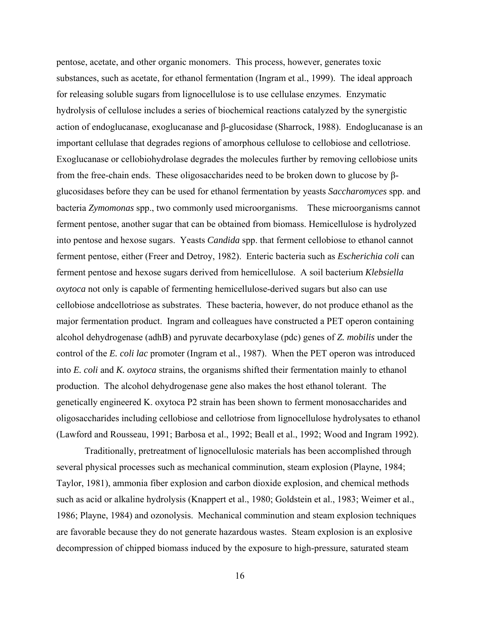pentose, acetate, and other organic monomers. This process, however, generates toxic substances, such as acetate, for ethanol fermentation (Ingram et al., 1999). The ideal approach for releasing soluble sugars from lignocellulose is to use cellulase enzymes. Enzymatic hydrolysis of cellulose includes a series of biochemical reactions catalyzed by the synergistic action of endoglucanase, exoglucanase and β-glucosidase (Sharrock, 1988). Endoglucanase is an important cellulase that degrades regions of amorphous cellulose to cellobiose and cellotriose. Exoglucanase or cellobiohydrolase degrades the molecules further by removing cellobiose units from the free-chain ends. These oligosaccharides need to be broken down to glucose by βglucosidases before they can be used for ethanol fermentation by yeasts *Saccharomyces* spp. and bacteria *Zymomonas* spp., two commonly used microorganisms. These microorganisms cannot ferment pentose, another sugar that can be obtained from biomass. Hemicellulose is hydrolyzed into pentose and hexose sugars. Yeasts *Candida* spp. that ferment cellobiose to ethanol cannot ferment pentose, either (Freer and Detroy, 1982). Enteric bacteria such as *Escherichia coli* can ferment pentose and hexose sugars derived from hemicellulose. A soil bacterium *Klebsiella oxytoca* not only is capable of fermenting hemicellulose-derived sugars but also can use cellobiose andcellotriose as substrates. These bacteria, however, do not produce ethanol as the major fermentation product. Ingram and colleagues have constructed a PET operon containing alcohol dehydrogenase (adhB) and pyruvate decarboxylase (pdc) genes of *Z. mobilis* under the control of the *E. coli lac* promoter (Ingram et al., 1987). When the PET operon was introduced into *E. coli* and *K. oxytoca* strains, the organisms shifted their fermentation mainly to ethanol production. The alcohol dehydrogenase gene also makes the host ethanol tolerant. The genetically engineered K. oxytoca P2 strain has been shown to ferment monosaccharides and oligosaccharides including cellobiose and cellotriose from lignocellulose hydrolysates to ethanol (Lawford and Rousseau, 1991; Barbosa et al., 1992; Beall et al., 1992; Wood and Ingram 1992).

Traditionally, pretreatment of lignocellulosic materials has been accomplished through several physical processes such as mechanical comminution, steam explosion (Playne, 1984; Taylor, 1981), ammonia fiber explosion and carbon dioxide explosion, and chemical methods such as acid or alkaline hydrolysis (Knappert et al., 1980; Goldstein et al., 1983; Weimer et al., 1986; Playne, 1984) and ozonolysis. Mechanical comminution and steam explosion techniques are favorable because they do not generate hazardous wastes. Steam explosion is an explosive decompression of chipped biomass induced by the exposure to high-pressure, saturated steam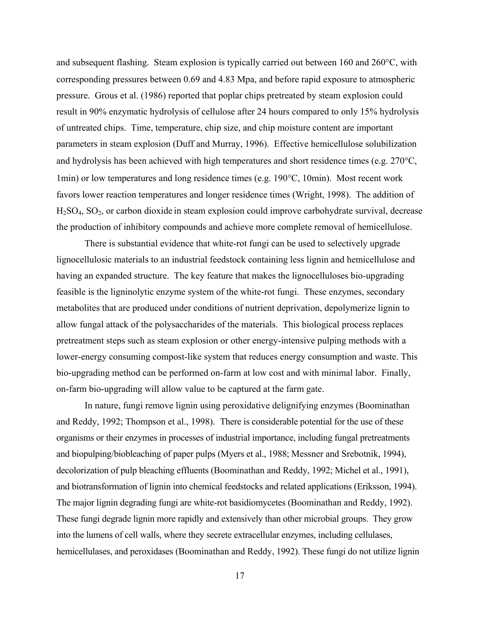and subsequent flashing. Steam explosion is typically carried out between  $160$  and  $260^{\circ}$ C, with corresponding pressures between 0.69 and 4.83 Mpa, and before rapid exposure to atmospheric pressure. Grous et al. (1986) reported that poplar chips pretreated by steam explosion could result in 90% enzymatic hydrolysis of cellulose after 24 hours compared to only 15% hydrolysis of untreated chips. Time, temperature, chip size, and chip moisture content are important parameters in steam explosion (Duff and Murray, 1996). Effective hemicellulose solubilization and hydrolysis has been achieved with high temperatures and short residence times (e.g.  $270^{\circ}$ C, 1min) or low temperatures and long residence times (e.g.  $190^{\circ}$ C, 10min). Most recent work favors lower reaction temperatures and longer residence times (Wright, 1998). The addition of  $H<sub>2</sub>SO<sub>4</sub>$ ,  $SO<sub>2</sub>$ , or carbon dioxide in steam explosion could improve carbohydrate survival, decrease the production of inhibitory compounds and achieve more complete removal of hemicellulose.

There is substantial evidence that white-rot fungi can be used to selectively upgrade lignocellulosic materials to an industrial feedstock containing less lignin and hemicellulose and having an expanded structure. The key feature that makes the lignocelluloses bio-upgrading feasible is the ligninolytic enzyme system of the white-rot fungi. These enzymes, secondary metabolites that are produced under conditions of nutrient deprivation, depolymerize lignin to allow fungal attack of the polysaccharides of the materials. This biological process replaces pretreatment steps such as steam explosion or other energy-intensive pulping methods with a lower-energy consuming compost-like system that reduces energy consumption and waste. This bio-upgrading method can be performed on-farm at low cost and with minimal labor. Finally, on-farm bio-upgrading will allow value to be captured at the farm gate.

In nature, fungi remove lignin using peroxidative delignifying enzymes (Boominathan and Reddy, 1992; Thompson et al., 1998). There is considerable potential for the use of these organisms or their enzymes in processes of industrial importance, including fungal pretreatments and biopulping/biobleaching of paper pulps (Myers et al., 1988; Messner and Srebotnik, 1994), decolorization of pulp bleaching effluents (Boominathan and Reddy, 1992; Michel et al., 1991), and biotransformation of lignin into chemical feedstocks and related applications (Eriksson, 1994). The major lignin degrading fungi are white-rot basidiomycetes (Boominathan and Reddy, 1992). These fungi degrade lignin more rapidly and extensively than other microbial groups. They grow into the lumens of cell walls, where they secrete extracellular enzymes, including cellulases, hemicellulases, and peroxidases (Boominathan and Reddy, 1992). These fungi do not utilize lignin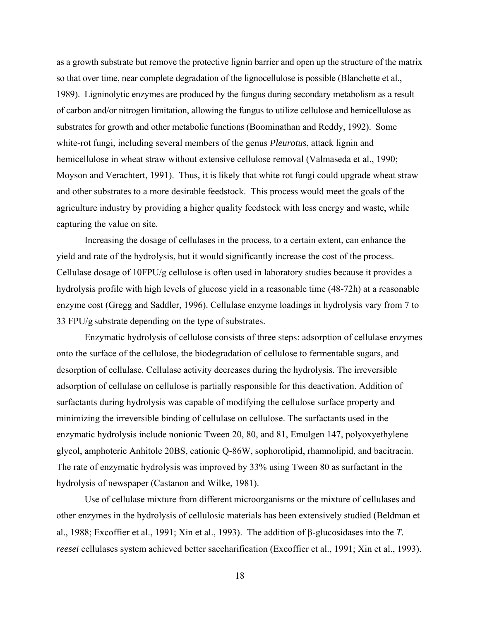as a growth substrate but remove the protective lignin barrier and open up the structure of the matrix so that over time, near complete degradation of the lignocellulose is possible (Blanchette et al., 1989). Ligninolytic enzymes are produced by the fungus during secondary metabolism as a result of carbon and/or nitrogen limitation, allowing the fungus to utilize cellulose and hemicellulose as substrates for growth and other metabolic functions (Boominathan and Reddy, 1992). Some white-rot fungi, including several members of the genus *Pleurotus*, attack lignin and hemicellulose in wheat straw without extensive cellulose removal (Valmaseda et al., 1990; Moyson and Verachtert, 1991). Thus, it is likely that white rot fungi could upgrade wheat straw and other substrates to a more desirable feedstock. This process would meet the goals of the agriculture industry by providing a higher quality feedstock with less energy and waste, while capturing the value on site.

Increasing the dosage of cellulases in the process, to a certain extent, can enhance the yield and rate of the hydrolysis, but it would significantly increase the cost of the process. Cellulase dosage of 10FPU/g cellulose is often used in laboratory studies because it provides a hydrolysis profile with high levels of glucose yield in a reasonable time (48-72h) at a reasonable enzyme cost (Gregg and Saddler, 1996). Cellulase enzyme loadings in hydrolysis vary from 7 to 33 FPU/g substrate depending on the type of substrates.

Enzymatic hydrolysis of cellulose consists of three steps: adsorption of cellulase enzymes onto the surface of the cellulose, the biodegradation of cellulose to fermentable sugars, and desorption of cellulase. Cellulase activity decreases during the hydrolysis. The irreversible adsorption of cellulase on cellulose is partially responsible for this deactivation. Addition of surfactants during hydrolysis was capable of modifying the cellulose surface property and minimizing the irreversible binding of cellulase on cellulose. The surfactants used in the enzymatic hydrolysis include nonionic Tween 20, 80, and 81, Emulgen 147, polyoxyethylene glycol, amphoteric Anhitole 20BS, cationic Q-86W, sophorolipid, rhamnolipid, and bacitracin. The rate of enzymatic hydrolysis was improved by 33% using Tween 80 as surfactant in the hydrolysis of newspaper (Castanon and Wilke, 1981).

Use of cellulase mixture from different microorganisms or the mixture of cellulases and other enzymes in the hydrolysis of cellulosic materials has been extensively studied (Beldman et al., 1988; Excoffier et al., 1991; Xin et al., 1993). The addition of  $\beta$ -glucosidases into the *T*. *reesei* cellulases system achieved better saccharification (Excoffier et al., 1991; Xin et al., 1993).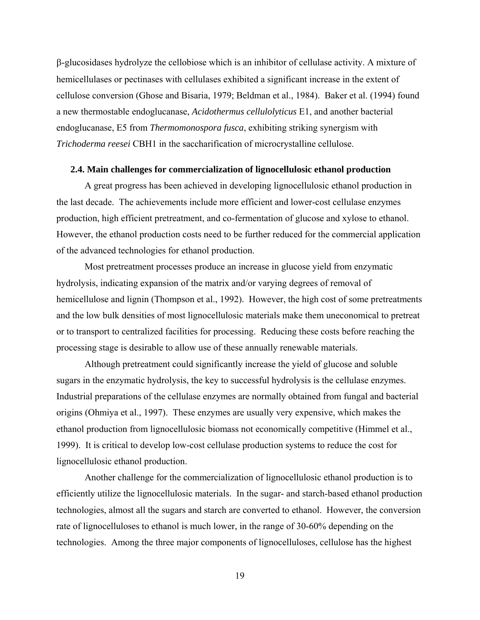-glucosidases hydrolyze the cellobiose which is an inhibitor of cellulase activity. A mixture of hemicellulases or pectinases with cellulases exhibited a significant increase in the extent of cellulose conversion (Ghose and Bisaria, 1979; Beldman et al., 1984). Baker et al. (1994) found a new thermostable endoglucanase, *Acidothermus cellulolyticus* E1, and another bacterial endoglucanase, E5 from *Thermomonospora fusca*, exhibiting striking synergism with *Trichoderma reesei* CBH1 in the saccharification of microcrystalline cellulose.

#### **2.4. Main challenges for commercialization of lignocellulosic ethanol production**

 A great progress has been achieved in developing lignocellulosic ethanol production in the last decade. The achievements include more efficient and lower-cost cellulase enzymes production, high efficient pretreatment, and co-fermentation of glucose and xylose to ethanol. However, the ethanol production costs need to be further reduced for the commercial application of the advanced technologies for ethanol production.

Most pretreatment processes produce an increase in glucose yield from enzymatic hydrolysis, indicating expansion of the matrix and/or varying degrees of removal of hemicellulose and lignin (Thompson et al., 1992). However, the high cost of some pretreatments and the low bulk densities of most lignocellulosic materials make them uneconomical to pretreat or to transport to centralized facilities for processing. Reducing these costs before reaching the processing stage is desirable to allow use of these annually renewable materials.

Although pretreatment could significantly increase the yield of glucose and soluble sugars in the enzymatic hydrolysis, the key to successful hydrolysis is the cellulase enzymes. Industrial preparations of the cellulase enzymes are normally obtained from fungal and bacterial origins (Ohmiya et al., 1997). These enzymes are usually very expensive, which makes the ethanol production from lignocellulosic biomass not economically competitive (Himmel et al., 1999). It is critical to develop low-cost cellulase production systems to reduce the cost for lignocellulosic ethanol production.

Another challenge for the commercialization of lignocellulosic ethanol production is to efficiently utilize the lignocellulosic materials. In the sugar- and starch-based ethanol production technologies, almost all the sugars and starch are converted to ethanol. However, the conversion rate of lignocelluloses to ethanol is much lower, in the range of 30-60% depending on the technologies. Among the three major components of lignocelluloses, cellulose has the highest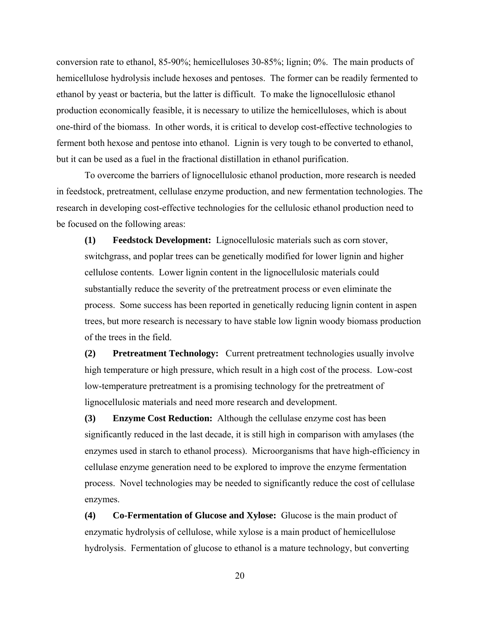conversion rate to ethanol, 85-90%; hemicelluloses 30-85%; lignin; 0%. The main products of hemicellulose hydrolysis include hexoses and pentoses. The former can be readily fermented to ethanol by yeast or bacteria, but the latter is difficult. To make the lignocellulosic ethanol production economically feasible, it is necessary to utilize the hemicelluloses, which is about one-third of the biomass. In other words, it is critical to develop cost-effective technologies to ferment both hexose and pentose into ethanol. Lignin is very tough to be converted to ethanol, but it can be used as a fuel in the fractional distillation in ethanol purification.

To overcome the barriers of lignocellulosic ethanol production, more research is needed in feedstock, pretreatment, cellulase enzyme production, and new fermentation technologies. The research in developing cost-effective technologies for the cellulosic ethanol production need to be focused on the following areas:

**(1) Feedstock Development:** Lignocellulosic materials such as corn stover, switchgrass, and poplar trees can be genetically modified for lower lignin and higher cellulose contents. Lower lignin content in the lignocellulosic materials could substantially reduce the severity of the pretreatment process or even eliminate the process. Some success has been reported in genetically reducing lignin content in aspen trees, but more research is necessary to have stable low lignin woody biomass production of the trees in the field.

**(2) Pretreatment Technology:** Current pretreatment technologies usually involve high temperature or high pressure, which result in a high cost of the process. Low-cost low-temperature pretreatment is a promising technology for the pretreatment of lignocellulosic materials and need more research and development.

**(3) Enzyme Cost Reduction:** Although the cellulase enzyme cost has been significantly reduced in the last decade, it is still high in comparison with amylases (the enzymes used in starch to ethanol process). Microorganisms that have high-efficiency in cellulase enzyme generation need to be explored to improve the enzyme fermentation process. Novel technologies may be needed to significantly reduce the cost of cellulase enzymes.

**(4) Co-Fermentation of Glucose and Xylose:** Glucose is the main product of enzymatic hydrolysis of cellulose, while xylose is a main product of hemicellulose hydrolysis. Fermentation of glucose to ethanol is a mature technology, but converting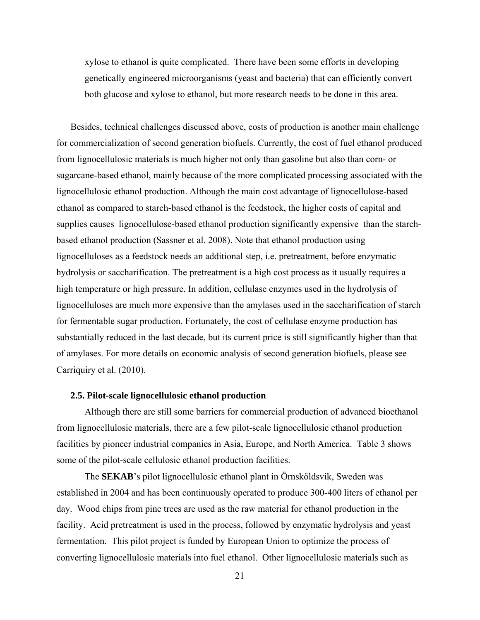xylose to ethanol is quite complicated. There have been some efforts in developing genetically engineered microorganisms (yeast and bacteria) that can efficiently convert both glucose and xylose to ethanol, but more research needs to be done in this area.

Besides, technical challenges discussed above, costs of production is another main challenge for commercialization of second generation biofuels. Currently, the cost of fuel ethanol produced from lignocellulosic materials is much higher not only than gasoline but also than corn- or sugarcane-based ethanol, mainly because of the more complicated processing associated with the lignocellulosic ethanol production. Although the main cost advantage of lignocellulose-based ethanol as compared to starch-based ethanol is the feedstock, the higher costs of capital and supplies causes lignocellulose-based ethanol production significantly expensive than the starchbased ethanol production (Sassner et al. 2008). Note that ethanol production using lignocelluloses as a feedstock needs an additional step, i.e. pretreatment, before enzymatic hydrolysis or saccharification. The pretreatment is a high cost process as it usually requires a high temperature or high pressure. In addition, cellulase enzymes used in the hydrolysis of lignocelluloses are much more expensive than the amylases used in the saccharification of starch for fermentable sugar production. Fortunately, the cost of cellulase enzyme production has substantially reduced in the last decade, but its current price is still significantly higher than that of amylases. For more details on economic analysis of second generation biofuels, please see Carriquiry et al. (2010).

#### **2.5. Pilot-scale lignocellulosic ethanol production**

Although there are still some barriers for commercial production of advanced bioethanol from lignocellulosic materials, there are a few pilot-scale lignocellulosic ethanol production facilities by pioneer industrial companies in Asia, Europe, and North America. Table 3 shows some of the pilot-scale cellulosic ethanol production facilities.

 The **SEKAB**'s pilot lignocellulosic ethanol plant in Örnsköldsvik, Sweden was established in 2004 and has been continuously operated to produce 300-400 liters of ethanol per day. Wood chips from pine trees are used as the raw material for ethanol production in the facility. Acid pretreatment is used in the process, followed by enzymatic hydrolysis and yeast fermentation. This pilot project is funded by European Union to optimize the process of converting lignocellulosic materials into fuel ethanol. Other lignocellulosic materials such as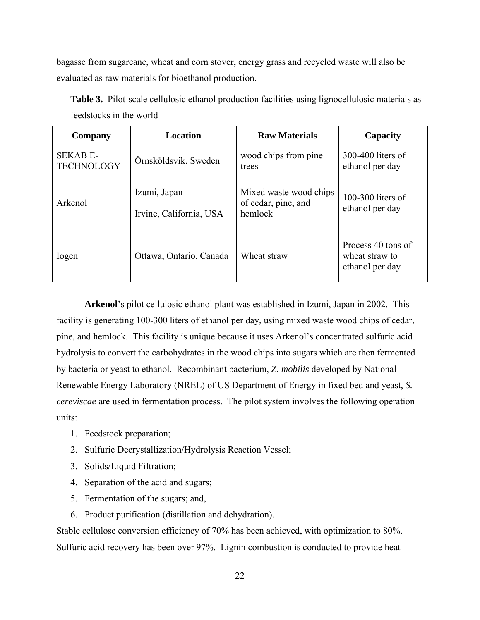bagasse from sugarcane, wheat and corn stover, energy grass and recycled waste will also be evaluated as raw materials for bioethanol production.

| Company                              | <b>Location</b>                         | <b>Raw Materials</b>                                     | Capacity                                                |
|--------------------------------------|-----------------------------------------|----------------------------------------------------------|---------------------------------------------------------|
| <b>SEKAB E-</b><br><b>TECHNOLOGY</b> | Örnsköldsvik, Sweden                    | wood chips from pine.<br>trees                           | 300-400 liters of<br>ethanol per day                    |
| Arkenol                              | Izumi, Japan<br>Irvine, California, USA | Mixed waste wood chips<br>of cedar, pine, and<br>hemlock | 100-300 liters of<br>ethanol per day                    |
| logen                                | Ottawa, Ontario, Canada                 | Wheat straw                                              | Process 40 tons of<br>wheat straw to<br>ethanol per day |

**Table 3.** Pilot-scale cellulosic ethanol production facilities using lignocellulosic materials as feedstocks in the world

**Arkenol**'s pilot cellulosic ethanol plant was established in Izumi, Japan in 2002. This facility is generating 100-300 liters of ethanol per day, using mixed waste wood chips of cedar, pine, and hemlock. This facility is unique because it uses Arkenol's concentrated sulfuric acid hydrolysis to convert the carbohydrates in the wood chips into sugars which are then fermented by bacteria or yeast to ethanol. Recombinant bacterium, *Z. mobilis* developed by National Renewable Energy Laboratory (NREL) of US Department of Energy in fixed bed and yeast, *S. cereviscae* are used in fermentation process. The pilot system involves the following operation units:

- 1. Feedstock preparation;
- 2. Sulfuric Decrystallization/Hydrolysis Reaction Vessel;
- 3. Solids/Liquid Filtration;
- 4. Separation of the acid and sugars;
- 5. Fermentation of the sugars; and,
- 6. Product purification (distillation and dehydration).

Stable cellulose conversion efficiency of 70% has been achieved, with optimization to 80%. Sulfuric acid recovery has been over 97%. Lignin combustion is conducted to provide heat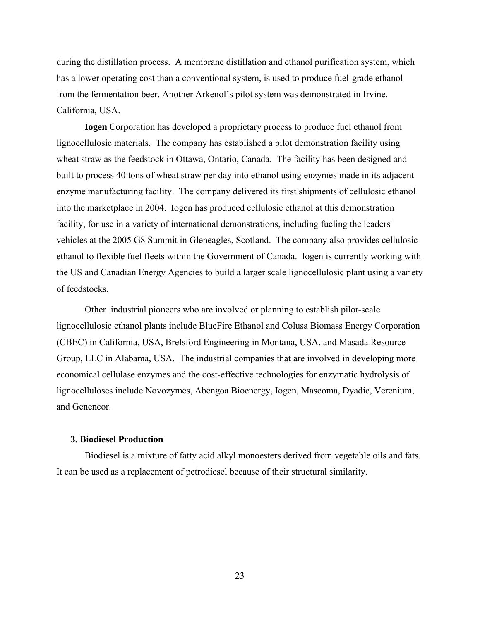during the distillation process. A membrane distillation and ethanol purification system, which has a lower operating cost than a conventional system, is used to produce fuel-grade ethanol from the fermentation beer. Another Arkenol's pilot system was demonstrated in Irvine, California, USA.

**Iogen** Corporation has developed a proprietary process to produce fuel ethanol from lignocellulosic materials. The company has established a pilot demonstration facility using wheat straw as the feedstock in Ottawa, Ontario, Canada. The facility has been designed and built to process 40 tons of wheat straw per day into ethanol using enzymes made in its adjacent enzyme manufacturing facility. The company delivered its first shipments of cellulosic ethanol into the marketplace in 2004. Iogen has produced cellulosic ethanol at this demonstration facility, for use in a variety of international demonstrations, including fueling the leaders' vehicles at the 2005 G8 Summit in Gleneagles, Scotland. The company also provides cellulosic ethanol to flexible fuel fleets within the Government of Canada. Iogen is currently working with the US and Canadian Energy Agencies to build a larger scale lignocellulosic plant using a variety of feedstocks.

Other industrial pioneers who are involved or planning to establish pilot-scale lignocellulosic ethanol plants include BlueFire Ethanol and Colusa Biomass Energy Corporation (CBEC) in California, USA, Brelsford Engineering in Montana, USA, and Masada Resource Group, LLC in Alabama, USA. The industrial companies that are involved in developing more economical cellulase enzymes and the cost-effective technologies for enzymatic hydrolysis of lignocelluloses include Novozymes, Abengoa Bioenergy, Iogen, Mascoma, Dyadic, Verenium, and Genencor.

# **3. Biodiesel Production**

Biodiesel is a mixture of fatty acid alkyl monoesters derived from vegetable oils and fats. It can be used as a replacement of petrodiesel because of their structural similarity.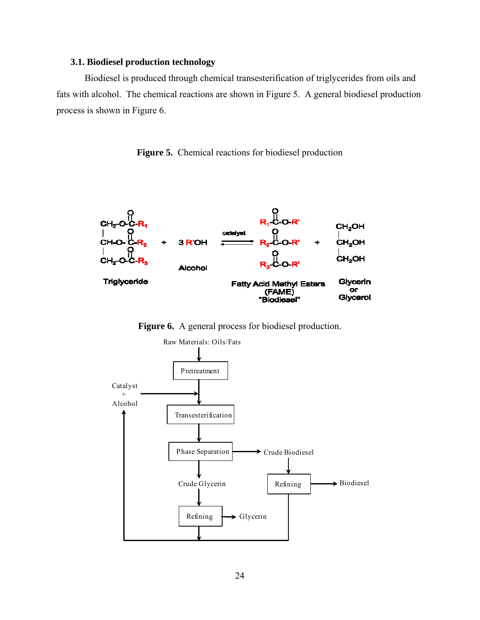#### **3.1. Biodiesel production technology**

 Biodiesel is produced through chemical transesterification of triglycerides from oils and fats with alcohol. The chemical reactions are shown in Figure 5. A general biodiesel production process is shown in Figure 6.

**Figure 5.** Chemical reactions for biodiesel production



**Figure 6.** A general process for biodiesel production.

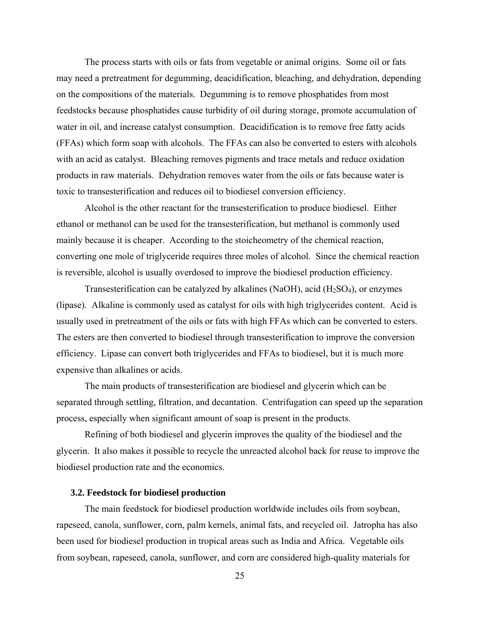The process starts with oils or fats from vegetable or animal origins. Some oil or fats may need a pretreatment for degumming, deacidification, bleaching, and dehydration, depending on the compositions of the materials. Degumming is to remove phosphatides from most feedstocks because phosphatides cause turbidity of oil during storage, promote accumulation of water in oil, and increase catalyst consumption. Deacidification is to remove free fatty acids (FFAs) which form soap with alcohols. The FFAs can also be converted to esters with alcohols with an acid as catalyst. Bleaching removes pigments and trace metals and reduce oxidation products in raw materials. Dehydration removes water from the oils or fats because water is toxic to transesterification and reduces oil to biodiesel conversion efficiency.

Alcohol is the other reactant for the transesterification to produce biodiesel. Either ethanol or methanol can be used for the transesterification, but methanol is commonly used mainly because it is cheaper. According to the stoicheometry of the chemical reaction, converting one mole of triglyceride requires three moles of alcohol. Since the chemical reaction is reversible, alcohol is usually overdosed to improve the biodiesel production efficiency.

Transesterification can be catalyzed by alkalines (NaOH), acid  $(H_2SO_4)$ , or enzymes (lipase). Alkaline is commonly used as catalyst for oils with high triglycerides content. Acid is usually used in pretreatment of the oils or fats with high FFAs which can be converted to esters. The esters are then converted to biodiesel through transesterification to improve the conversion efficiency. Lipase can convert both triglycerides and FFAs to biodiesel, but it is much more expensive than alkalines or acids.

The main products of transesterification are biodiesel and glycerin which can be separated through settling, filtration, and decantation. Centrifugation can speed up the separation process, especially when significant amount of soap is present in the products.

Refining of both biodiesel and glycerin improves the quality of the biodiesel and the glycerin. It also makes it possible to recycle the unreacted alcohol back for reuse to improve the biodiesel production rate and the economics.

#### **3.2. Feedstock for biodiesel production**

 The main feedstock for biodiesel production worldwide includes oils from soybean, rapeseed, canola, sunflower, corn, palm kernels, animal fats, and recycled oil. Jatropha has also been used for biodiesel production in tropical areas such as India and Africa. Vegetable oils from soybean, rapeseed, canola, sunflower, and corn are considered high-quality materials for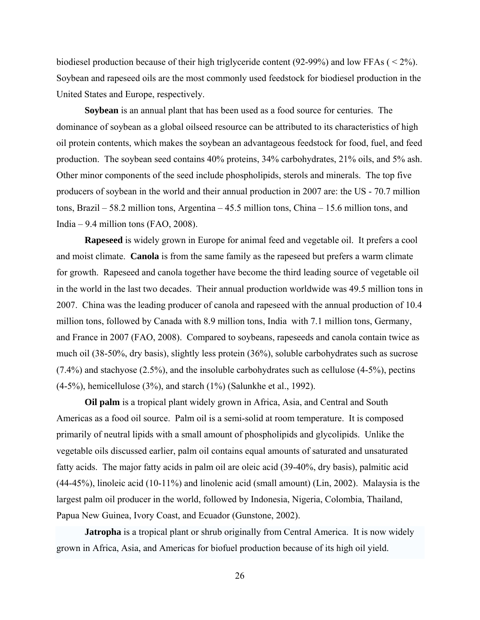biodiesel production because of their high triglyceride content (92-99%) and low FFAs  $(< 2\%$ ). Soybean and rapeseed oils are the most commonly used feedstock for biodiesel production in the United States and Europe, respectively.

**Soybean** is an annual plant that has been used as a food source for centuries. The dominance of soybean as a global oilseed resource can be attributed to its characteristics of high oil protein contents, which makes the soybean an advantageous feedstock for food, fuel, and feed production. The soybean seed contains 40% proteins, 34% carbohydrates, 21% oils, and 5% ash. Other minor components of the seed include phospholipids, sterols and minerals. The top five producers of soybean in the world and their annual production in 2007 are: the US - 70.7 million tons, Brazil – 58.2 million tons, Argentina – 45.5 million tons, China – 15.6 million tons, and India –  $9.4$  million tons (FAO, 2008).

**Rapeseed** is widely grown in Europe for animal feed and vegetable oil. It prefers a cool and moist climate. **Canola** is from the same family as the rapeseed but prefers a warm climate for growth. Rapeseed and canola together have become the third leading source of vegetable oil in the world in the last two decades. Their annual production worldwide was 49.5 million tons in 2007. China was the leading producer of canola and rapeseed with the annual production of 10.4 million tons, followed by Canada with 8.9 million tons, India with 7.1 million tons, Germany, and France in 2007 (FAO, 2008). Compared to soybeans, rapeseeds and canola contain twice as much oil (38-50%, dry basis), slightly less protein (36%), soluble carbohydrates such as sucrose (7.4%) and stachyose (2.5%), and the insoluble carbohydrates such as cellulose (4-5%), pectins (4-5%), hemicellulose (3%), and starch (1%) (Salunkhe et al., 1992).

**Oil palm** is a tropical plant widely grown in Africa, Asia, and Central and South Americas as a food oil source. Palm oil is a semi-solid at room temperature. It is composed primarily of neutral lipids with a small amount of phospholipids and glycolipids. Unlike the vegetable oils discussed earlier, palm oil contains equal amounts of saturated and unsaturated fatty acids. The major fatty acids in palm oil are oleic acid (39-40%, dry basis), palmitic acid (44-45%), linoleic acid (10-11%) and linolenic acid (small amount) (Lin, 2002). Malaysia is the largest palm oil producer in the world, followed by Indonesia, Nigeria, Colombia, Thailand, Papua New Guinea, Ivory Coast, and Ecuador (Gunstone, 2002).

**Jatropha** is a tropical plant or shrub originally from Central America. It is now widely grown in Africa, Asia, and Americas for biofuel production because of its high oil yield.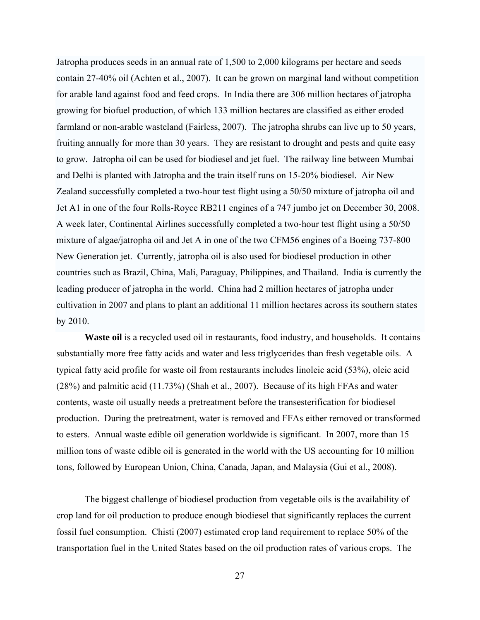Jatropha produces seeds in an annual rate of 1,500 to 2,000 kilograms per hectare and seeds contain 27-40% oil (Achten et al., 2007). It can be grown on marginal land without competition for arable land against food and feed crops. In India there are 306 million hectares of jatropha growing for biofuel production, of which 133 million hectares are classified as either eroded farmland or non-arable wasteland (Fairless, 2007). The jatropha shrubs can live up to 50 years, fruiting annually for more than 30 years. They are resistant to drought and pests and quite easy to grow. Jatropha oil can be used for biodiesel and jet fuel. The railway line between Mumbai and Delhi is planted with Jatropha and the train itself runs on 15-20% biodiesel. Air New Zealand successfully completed a two-hour test flight using a 50/50 mixture of jatropha oil and Jet A1 in one of the four Rolls-Royce RB211 engines of a 747 jumbo jet on December 30, 2008. A week later, Continental Airlines successfully completed a two-hour test flight using a 50/50 mixture of algae/jatropha oil and Jet A in one of the two CFM56 engines of a Boeing 737-800 New Generation jet. Currently, jatropha oil is also used for biodiesel production in other countries such as Brazil, China, Mali, Paraguay, Philippines, and Thailand. India is currently the leading producer of jatropha in the world. China had 2 million hectares of jatropha under cultivation in 2007 and plans to plant an additional 11 million hectares across its southern states by 2010.

**Waste oil** is a recycled used oil in restaurants, food industry, and households. It contains substantially more free fatty acids and water and less triglycerides than fresh vegetable oils. A typical fatty acid profile for waste oil from restaurants includes linoleic acid (53%), oleic acid (28%) and palmitic acid (11.73%) (Shah et al., 2007). Because of its high FFAs and water contents, waste oil usually needs a pretreatment before the transesterification for biodiesel production. During the pretreatment, water is removed and FFAs either removed or transformed to esters. Annual waste edible oil generation worldwide is significant. In 2007, more than 15 million tons of waste edible oil is generated in the world with the US accounting for 10 million tons, followed by European Union, China, Canada, Japan, and Malaysia (Gui et al., 2008).

The biggest challenge of biodiesel production from vegetable oils is the availability of crop land for oil production to produce enough biodiesel that significantly replaces the current fossil fuel consumption. Chisti (2007) estimated crop land requirement to replace 50% of the transportation fuel in the United States based on the oil production rates of various crops. The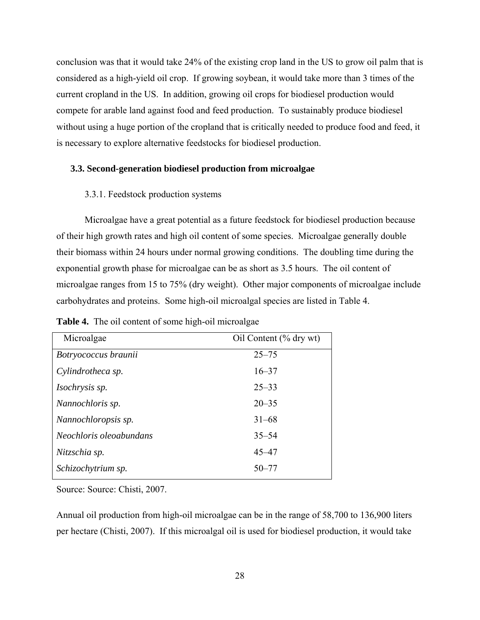conclusion was that it would take 24% of the existing crop land in the US to grow oil palm that is considered as a high-yield oil crop. If growing soybean, it would take more than 3 times of the current cropland in the US. In addition, growing oil crops for biodiesel production would compete for arable land against food and feed production. To sustainably produce biodiesel without using a huge portion of the cropland that is critically needed to produce food and feed, it is necessary to explore alternative feedstocks for biodiesel production.

# **3.3. Second-generation biodiesel production from microalgae**

### 3.3.1. Feedstock production systems

Microalgae have a great potential as a future feedstock for biodiesel production because of their high growth rates and high oil content of some species. Microalgae generally double their biomass within 24 hours under normal growing conditions. The doubling time during the exponential growth phase for microalgae can be as short as 3.5 hours. The oil content of microalgae ranges from 15 to 75% (dry weight). Other major components of microalgae include carbohydrates and proteins. Some high-oil microalgal species are listed in Table 4.

| Microalgae              | Oil Content (% dry wt) |
|-------------------------|------------------------|
| Botryococcus braunii    | $25 - 75$              |
| Cylindrotheca sp.       | $16 - 37$              |
| Isochrysis sp.          | $25 - 33$              |
| Nannochloris sp.        | $20 - 35$              |
| Nannochloropsis sp.     | $31 - 68$              |
| Neochloris oleoabundans | $35 - 54$              |
| Nitzschia sp.           | $45 - 47$              |
| Schizochytrium sp.      | $50 - 77$              |

**Table 4.** The oil content of some high-oil microalgae

Source: Source: Chisti, 2007.

Annual oil production from high-oil microalgae can be in the range of 58,700 to 136,900 liters per hectare (Chisti, 2007). If this microalgal oil is used for biodiesel production, it would take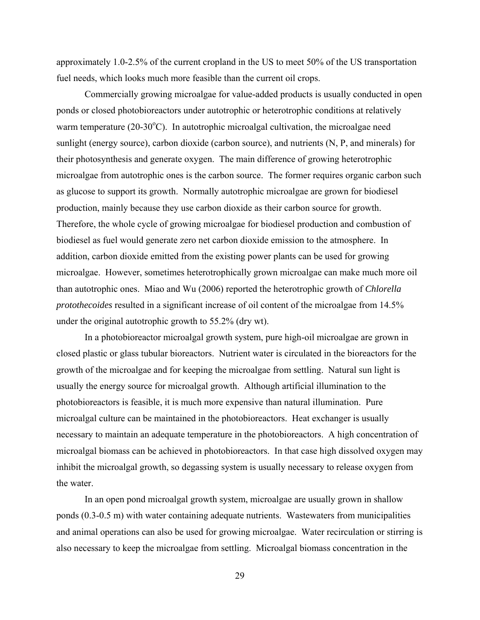approximately 1.0-2.5% of the current cropland in the US to meet 50% of the US transportation fuel needs, which looks much more feasible than the current oil crops.

Commercially growing microalgae for value-added products is usually conducted in open ponds or closed photobioreactors under autotrophic or heterotrophic conditions at relatively warm temperature  $(20-30^{\circ}C)$ . In autotrophic microalgal cultivation, the microalgae need sunlight (energy source), carbon dioxide (carbon source), and nutrients (N, P, and minerals) for their photosynthesis and generate oxygen. The main difference of growing heterotrophic microalgae from autotrophic ones is the carbon source. The former requires organic carbon such as glucose to support its growth. Normally autotrophic microalgae are grown for biodiesel production, mainly because they use carbon dioxide as their carbon source for growth. Therefore, the whole cycle of growing microalgae for biodiesel production and combustion of biodiesel as fuel would generate zero net carbon dioxide emission to the atmosphere. In addition, carbon dioxide emitted from the existing power plants can be used for growing microalgae. However, sometimes heterotrophically grown microalgae can make much more oil than autotrophic ones. Miao and Wu (2006) reported the heterotrophic growth of *Chlorella protothecoides* resulted in a significant increase of oil content of the microalgae from 14.5% under the original autotrophic growth to 55.2% (dry wt).

 In a photobioreactor microalgal growth system, pure high-oil microalgae are grown in closed plastic or glass tubular bioreactors. Nutrient water is circulated in the bioreactors for the growth of the microalgae and for keeping the microalgae from settling. Natural sun light is usually the energy source for microalgal growth. Although artificial illumination to the photobioreactors is feasible, it is much more expensive than natural illumination. Pure microalgal culture can be maintained in the photobioreactors. Heat exchanger is usually necessary to maintain an adequate temperature in the photobioreactors. A high concentration of microalgal biomass can be achieved in photobioreactors. In that case high dissolved oxygen may inhibit the microalgal growth, so degassing system is usually necessary to release oxygen from the water.

 In an open pond microalgal growth system, microalgae are usually grown in shallow ponds (0.3-0.5 m) with water containing adequate nutrients. Wastewaters from municipalities and animal operations can also be used for growing microalgae. Water recirculation or stirring is also necessary to keep the microalgae from settling. Microalgal biomass concentration in the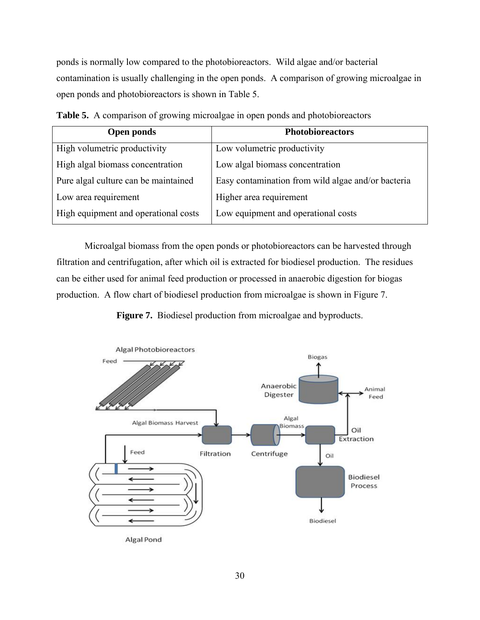ponds is normally low compared to the photobioreactors. Wild algae and/or bacterial contamination is usually challenging in the open ponds. A comparison of growing microalgae in open ponds and photobioreactors is shown in Table 5.

| Open ponds                           | <b>Photobioreactors</b>                            |
|--------------------------------------|----------------------------------------------------|
| High volumetric productivity         | Low volumetric productivity                        |
| High algal biomass concentration     | Low algal biomass concentration                    |
| Pure algal culture can be maintained | Easy contamination from wild algae and/or bacteria |
| Low area requirement                 | Higher area requirement                            |
| High equipment and operational costs | Low equipment and operational costs                |

**Table 5.** A comparison of growing microalgae in open ponds and photobioreactors

 Microalgal biomass from the open ponds or photobioreactors can be harvested through filtration and centrifugation, after which oil is extracted for biodiesel production. The residues can be either used for animal feed production or processed in anaerobic digestion for biogas production. A flow chart of biodiesel production from microalgae is shown in Figure 7.

**Figure 7.** Biodiesel production from microalgae and byproducts.

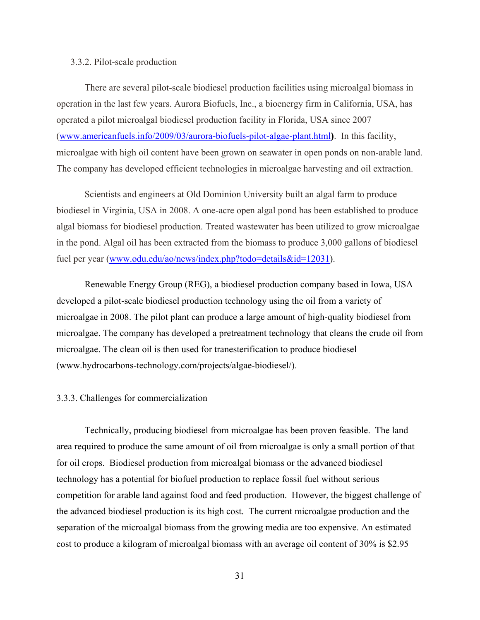#### 3.3.2. Pilot-scale production

There are several pilot-scale biodiesel production facilities using microalgal biomass in operation in the last few years. Aurora Biofuels, Inc., a bioenergy firm in California, USA, has operated a pilot microalgal biodiesel production facility in Florida, USA since 2007 (www.americanfuels.info/2009/03/aurora-biofuels-pilot-algae-plant.html**)**. In this facility, microalgae with high oil content have been grown on seawater in open ponds on non-arable land. The company has developed efficient technologies in microalgae harvesting and oil extraction.

Scientists and engineers at Old Dominion University built an algal farm to produce biodiesel in Virginia, USA in 2008. A one-acre open algal pond has been established to produce algal biomass for biodiesel production. Treated wastewater has been utilized to grow microalgae in the pond. Algal oil has been extracted from the biomass to produce 3,000 gallons of biodiesel fuel per year (www.odu.edu/ao/news/index.php?todo=details&id=12031).

Renewable Energy Group (REG), a biodiesel production company based in Iowa, USA developed a pilot-scale biodiesel production technology using the oil from a variety of microalgae in 2008. The pilot plant can produce a large amount of high-quality biodiesel from microalgae. The company has developed a pretreatment technology that cleans the crude oil from microalgae. The clean oil is then used for tranesterification to produce biodiesel (www.hydrocarbons-technology.com/projects/algae-biodiesel/).

#### 3.3.3. Challenges for commercialization

Technically, producing biodiesel from microalgae has been proven feasible. The land area required to produce the same amount of oil from microalgae is only a small portion of that for oil crops. Biodiesel production from microalgal biomass or the advanced biodiesel technology has a potential for biofuel production to replace fossil fuel without serious competition for arable land against food and feed production. However, the biggest challenge of the advanced biodiesel production is its high cost. The current microalgae production and the separation of the microalgal biomass from the growing media are too expensive. An estimated cost to produce a kilogram of microalgal biomass with an average oil content of 30% is \$2.95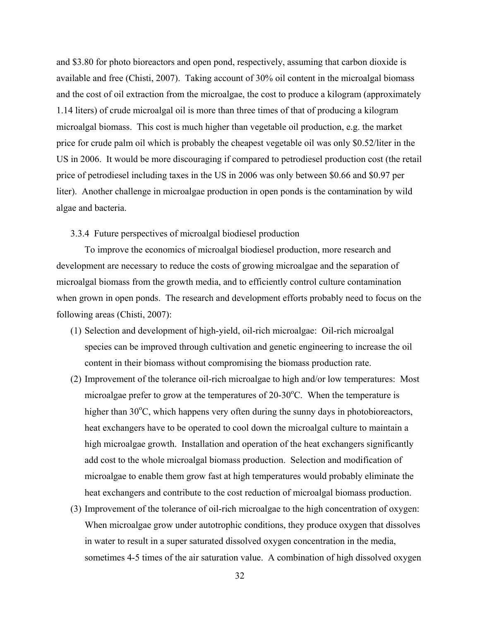and \$3.80 for photo bioreactors and open pond, respectively, assuming that carbon dioxide is available and free (Chisti, 2007). Taking account of 30% oil content in the microalgal biomass and the cost of oil extraction from the microalgae, the cost to produce a kilogram (approximately 1.14 liters) of crude microalgal oil is more than three times of that of producing a kilogram microalgal biomass. This cost is much higher than vegetable oil production, e.g. the market price for crude palm oil which is probably the cheapest vegetable oil was only \$0.52/liter in the US in 2006. It would be more discouraging if compared to petrodiesel production cost (the retail price of petrodiesel including taxes in the US in 2006 was only between \$0.66 and \$0.97 per liter). Another challenge in microalgae production in open ponds is the contamination by wild algae and bacteria.

3.3.4 Future perspectives of microalgal biodiesel production

 To improve the economics of microalgal biodiesel production, more research and development are necessary to reduce the costs of growing microalgae and the separation of microalgal biomass from the growth media, and to efficiently control culture contamination when grown in open ponds. The research and development efforts probably need to focus on the following areas (Chisti, 2007):

- (1) Selection and development of high-yield, oil-rich microalgae: Oil-rich microalgal species can be improved through cultivation and genetic engineering to increase the oil content in their biomass without compromising the biomass production rate.
- (2) Improvement of the tolerance oil-rich microalgae to high and/or low temperatures: Most microalgae prefer to grow at the temperatures of  $20\n-30^{\circ}\text{C}$ . When the temperature is higher than 30°C, which happens very often during the sunny days in photobioreactors, heat exchangers have to be operated to cool down the microalgal culture to maintain a high microalgae growth. Installation and operation of the heat exchangers significantly add cost to the whole microalgal biomass production. Selection and modification of microalgae to enable them grow fast at high temperatures would probably eliminate the heat exchangers and contribute to the cost reduction of microalgal biomass production.
- (3) Improvement of the tolerance of oil-rich microalgae to the high concentration of oxygen: When microalgae grow under autotrophic conditions, they produce oxygen that dissolves in water to result in a super saturated dissolved oxygen concentration in the media, sometimes 4-5 times of the air saturation value. A combination of high dissolved oxygen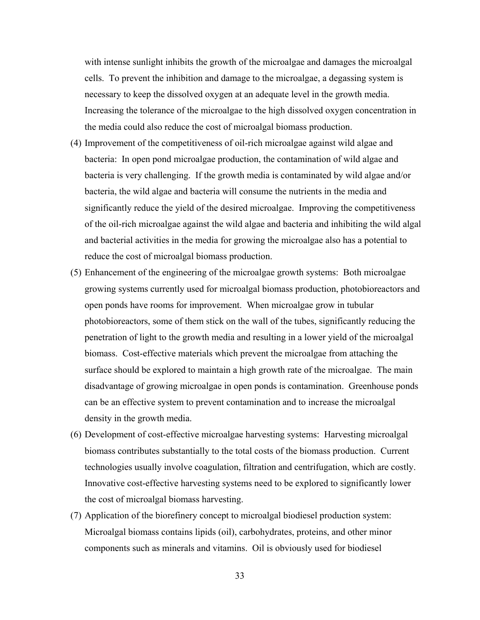with intense sunlight inhibits the growth of the microalgae and damages the microalgal cells. To prevent the inhibition and damage to the microalgae, a degassing system is necessary to keep the dissolved oxygen at an adequate level in the growth media. Increasing the tolerance of the microalgae to the high dissolved oxygen concentration in the media could also reduce the cost of microalgal biomass production.

- (4) Improvement of the competitiveness of oil-rich microalgae against wild algae and bacteria: In open pond microalgae production, the contamination of wild algae and bacteria is very challenging. If the growth media is contaminated by wild algae and/or bacteria, the wild algae and bacteria will consume the nutrients in the media and significantly reduce the yield of the desired microalgae. Improving the competitiveness of the oil-rich microalgae against the wild algae and bacteria and inhibiting the wild algal and bacterial activities in the media for growing the microalgae also has a potential to reduce the cost of microalgal biomass production.
- (5) Enhancement of the engineering of the microalgae growth systems: Both microalgae growing systems currently used for microalgal biomass production, photobioreactors and open ponds have rooms for improvement. When microalgae grow in tubular photobioreactors, some of them stick on the wall of the tubes, significantly reducing the penetration of light to the growth media and resulting in a lower yield of the microalgal biomass. Cost-effective materials which prevent the microalgae from attaching the surface should be explored to maintain a high growth rate of the microalgae. The main disadvantage of growing microalgae in open ponds is contamination. Greenhouse ponds can be an effective system to prevent contamination and to increase the microalgal density in the growth media.
- (6) Development of cost-effective microalgae harvesting systems: Harvesting microalgal biomass contributes substantially to the total costs of the biomass production. Current technologies usually involve coagulation, filtration and centrifugation, which are costly. Innovative cost-effective harvesting systems need to be explored to significantly lower the cost of microalgal biomass harvesting.
- (7) Application of the biorefinery concept to microalgal biodiesel production system: Microalgal biomass contains lipids (oil), carbohydrates, proteins, and other minor components such as minerals and vitamins. Oil is obviously used for biodiesel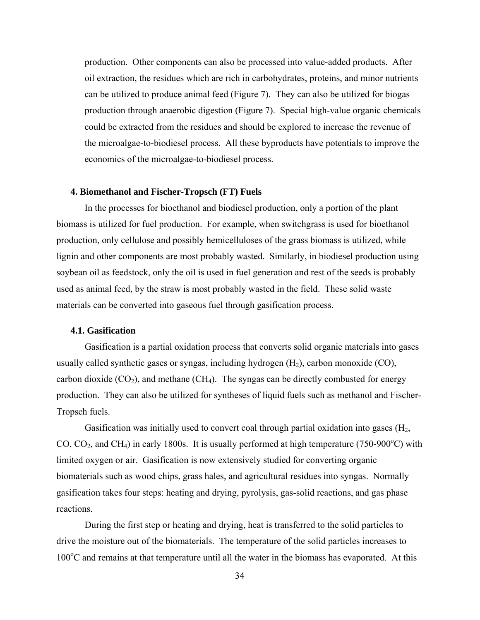production. Other components can also be processed into value-added products. After oil extraction, the residues which are rich in carbohydrates, proteins, and minor nutrients can be utilized to produce animal feed (Figure 7). They can also be utilized for biogas production through anaerobic digestion (Figure 7). Special high-value organic chemicals could be extracted from the residues and should be explored to increase the revenue of the microalgae-to-biodiesel process. All these byproducts have potentials to improve the economics of the microalgae-to-biodiesel process.

#### **4. Biomethanol and Fischer-Tropsch (FT) Fuels**

In the processes for bioethanol and biodiesel production, only a portion of the plant biomass is utilized for fuel production. For example, when switchgrass is used for bioethanol production, only cellulose and possibly hemicelluloses of the grass biomass is utilized, while lignin and other components are most probably wasted. Similarly, in biodiesel production using soybean oil as feedstock, only the oil is used in fuel generation and rest of the seeds is probably used as animal feed, by the straw is most probably wasted in the field. These solid waste materials can be converted into gaseous fuel through gasification process.

#### **4.1. Gasification**

 Gasification is a partial oxidation process that converts solid organic materials into gases usually called synthetic gases or syngas, including hydrogen  $(H_2)$ , carbon monoxide  $(CO)$ , carbon dioxide  $(CO_2)$ , and methane  $(CH_4)$ . The syngas can be directly combusted for energy production. They can also be utilized for syntheses of liquid fuels such as methanol and Fischer-Tropsch fuels.

Gasification was initially used to convert coal through partial oxidation into gases  $(H<sub>2</sub>,$ CO,  $CO_2$ , and CH<sub>4</sub>) in early 1800s. It is usually performed at high temperature (750-900°C) with limited oxygen or air. Gasification is now extensively studied for converting organic biomaterials such as wood chips, grass hales, and agricultural residues into syngas. Normally gasification takes four steps: heating and drying, pyrolysis, gas-solid reactions, and gas phase reactions.

 During the first step or heating and drying, heat is transferred to the solid particles to drive the moisture out of the biomaterials. The temperature of the solid particles increases to 100°C and remains at that temperature until all the water in the biomass has evaporated. At this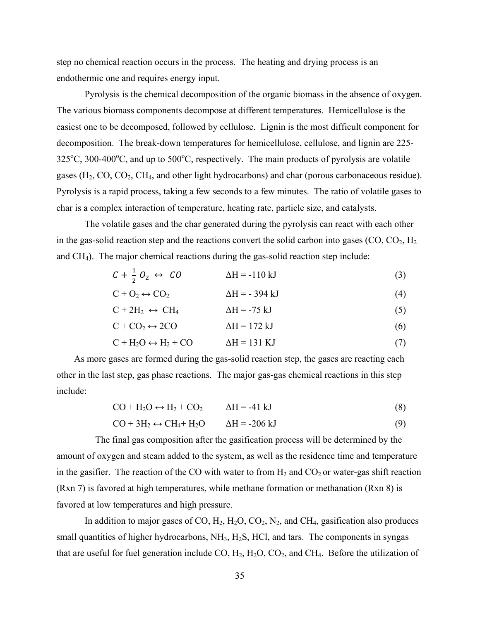step no chemical reaction occurs in the process. The heating and drying process is an endothermic one and requires energy input.

 Pyrolysis is the chemical decomposition of the organic biomass in the absence of oxygen. The various biomass components decompose at different temperatures. Hemicellulose is the easiest one to be decomposed, followed by cellulose. Lignin is the most difficult component for decomposition. The break-down temperatures for hemicellulose, cellulose, and lignin are 225-  $325^{\circ}$ C, 300-400 $^{\circ}$ C, and up to 500 $^{\circ}$ C, respectively. The main products of pyrolysis are volatile gases  $(H_2, CO, CO_2, CH_4, and other light hydrocarbons)$  and char (porous carbonaceous residue). Pyrolysis is a rapid process, taking a few seconds to a few minutes. The ratio of volatile gases to char is a complex interaction of temperature, heating rate, particle size, and catalysts.

 The volatile gases and the char generated during the pyrolysis can react with each other in the gas-solid reaction step and the reactions convert the solid carbon into gases  $(CO, CO<sub>2</sub>, H<sub>2</sub>)$ and CH4). The major chemical reactions during the gas-solid reaction step include:

$$
C + \frac{1}{2} O_2 \leftrightarrow CO \qquad \Delta H = -110 \text{ kJ}
$$
 (3)

$$
C + O_2 \leftrightarrow CO_2 \qquad \Delta H = -394 \text{ kJ}
$$
 (4)

$$
C + 2H_2 \leftrightarrow CH_4 \qquad \Delta H = -75 \text{ kJ}
$$
 (5)

$$
C + CO_2 \leftrightarrow 2CO \qquad \Delta H = 172 \text{ kJ}
$$
 (6)

$$
C + H_2O \leftrightarrow H_2 + CO \qquad \Delta H = 131 \text{ KJ} \tag{7}
$$

 As more gases are formed during the gas-solid reaction step, the gases are reacting each other in the last step, gas phase reactions. The major gas-gas chemical reactions in this step include:

$$
CO + H2O \leftrightarrow H2 + CO2 \qquad \Delta H = -41 \text{ kJ}
$$
 (8)

$$
CO + 3H_2 \leftrightarrow CH_4 + H_2O \qquad \Delta H = -206 \text{ kJ}
$$
 (9)

 The final gas composition after the gasification process will be determined by the amount of oxygen and steam added to the system, as well as the residence time and temperature in the gasifier. The reaction of the CO with water to from  $H_2$  and  $CO_2$  or water-gas shift reaction (Rxn 7) is favored at high temperatures, while methane formation or methanation (Rxn 8) is favored at low temperatures and high pressure.

In addition to major gases of CO,  $H_2$ ,  $H_2O$ ,  $CO_2$ ,  $N_2$ , and CH<sub>4</sub>, gasification also produces small quantities of higher hydrocarbons,  $NH<sub>3</sub>$ ,  $H<sub>2</sub>S$ , HCl, and tars. The components in syngas that are useful for fuel generation include  $CO, H_2, H_2O, CO_2$ , and  $CH_4$ . Before the utilization of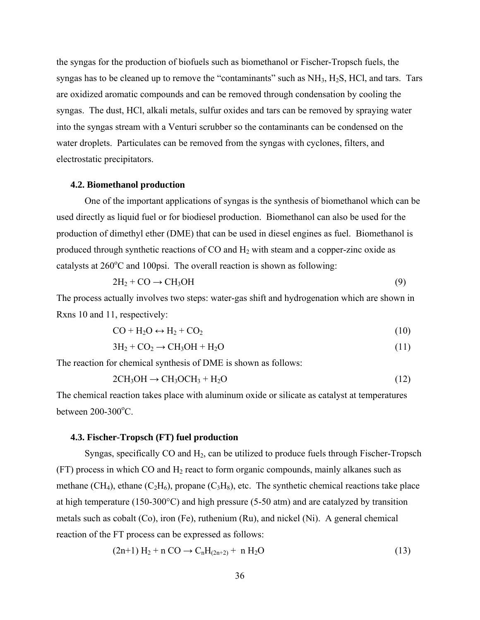the syngas for the production of biofuels such as biomethanol or Fischer-Tropsch fuels, the syngas has to be cleaned up to remove the "contaminants" such as NH<sub>3</sub>, H<sub>2</sub>S, HCl, and tars. Tars are oxidized aromatic compounds and can be removed through condensation by cooling the syngas. The dust, HCl, alkali metals, sulfur oxides and tars can be removed by spraying water into the syngas stream with a Venturi scrubber so the contaminants can be condensed on the water droplets. Particulates can be removed from the syngas with cyclones, filters, and electrostatic precipitators.

#### **4.2. Biomethanol production**

 One of the important applications of syngas is the synthesis of biomethanol which can be used directly as liquid fuel or for biodiesel production. Biomethanol can also be used for the production of dimethyl ether (DME) that can be used in diesel engines as fuel. Biomethanol is produced through synthetic reactions of CO and H2 with steam and a copper-zinc oxide as catalysts at  $260^{\circ}$ C and 100psi. The overall reaction is shown as following:

$$
2H_2 + CO \rightarrow CH_3OH \tag{9}
$$

The process actually involves two steps: water-gas shift and hydrogenation which are shown in Rxns 10 and 11, respectively:

$$
CO + H_2O \leftrightarrow H_2 + CO_2 \tag{10}
$$

$$
3H_2 + CO_2 \rightarrow CH_3OH + H_2O \tag{11}
$$

The reaction for chemical synthesis of DME is shown as follows:

$$
2CH3OH \rightarrow CH3OCH3 + H2O
$$
\n(12)

The chemical reaction takes place with aluminum oxide or silicate as catalyst at temperatures between  $200 - 300$ °C.

#### **4.3. Fischer-Tropsch (FT) fuel production**

Syngas, specifically CO and H<sub>2</sub>, can be utilized to produce fuels through Fischer-Tropsch  $(FT)$  process in which CO and  $H<sub>2</sub>$  react to form organic compounds, mainly alkanes such as methane (CH<sub>4</sub>), ethane (C<sub>2</sub>H<sub>6</sub>), propane (C<sub>3</sub>H<sub>8</sub>), etc. The synthetic chemical reactions take place at high temperature (150-300°C) and high pressure (5-50 atm) and are catalyzed by transition metals such as cobalt (Co), iron (Fe), ruthenium (Ru), and nickel (Ni). A general chemical reaction of the FT process can be expressed as follows:

$$
(2n+1) H2 + n CO \to CnH(2n+2) + n H2O
$$
\n(13)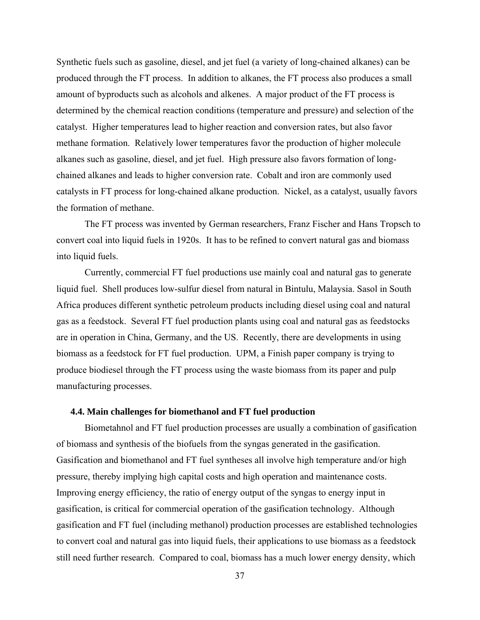Synthetic fuels such as gasoline, diesel, and jet fuel (a variety of long-chained alkanes) can be produced through the FT process. In addition to alkanes, the FT process also produces a small amount of byproducts such as alcohols and alkenes. A major product of the FT process is determined by the chemical reaction conditions (temperature and pressure) and selection of the catalyst. Higher temperatures lead to higher reaction and conversion rates, but also favor methane formation. Relatively lower temperatures favor the production of higher molecule alkanes such as gasoline, diesel, and jet fuel. High pressure also favors formation of longchained alkanes and leads to higher conversion rate. Cobalt and iron are commonly used catalysts in FT process for long-chained alkane production. Nickel, as a catalyst, usually favors the formation of methane.

 The FT process was invented by German researchers, Franz Fischer and Hans Tropsch to convert coal into liquid fuels in 1920s. It has to be refined to convert natural gas and biomass into liquid fuels.

 Currently, commercial FT fuel productions use mainly coal and natural gas to generate liquid fuel. Shell produces low-sulfur diesel from natural in Bintulu, Malaysia. Sasol in South Africa produces different synthetic petroleum products including diesel using coal and natural gas as a feedstock. Several FT fuel production plants using coal and natural gas as feedstocks are in operation in China, Germany, and the US. Recently, there are developments in using biomass as a feedstock for FT fuel production. UPM, a Finish paper company is trying to produce biodiesel through the FT process using the waste biomass from its paper and pulp manufacturing processes.

#### **4.4. Main challenges for biomethanol and FT fuel production**

 Biometahnol and FT fuel production processes are usually a combination of gasification of biomass and synthesis of the biofuels from the syngas generated in the gasification. Gasification and biomethanol and FT fuel syntheses all involve high temperature and/or high pressure, thereby implying high capital costs and high operation and maintenance costs. Improving energy efficiency, the ratio of energy output of the syngas to energy input in gasification, is critical for commercial operation of the gasification technology. Although gasification and FT fuel (including methanol) production processes are established technologies to convert coal and natural gas into liquid fuels, their applications to use biomass as a feedstock still need further research. Compared to coal, biomass has a much lower energy density, which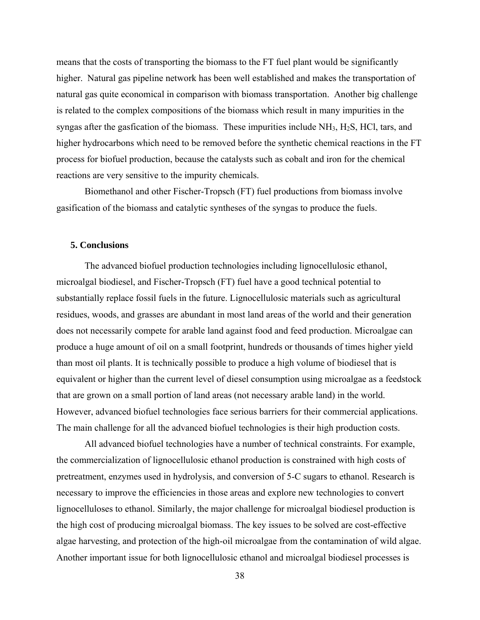means that the costs of transporting the biomass to the FT fuel plant would be significantly higher. Natural gas pipeline network has been well established and makes the transportation of natural gas quite economical in comparison with biomass transportation. Another big challenge is related to the complex compositions of the biomass which result in many impurities in the syngas after the gasfication of the biomass. These impurities include  $NH<sub>3</sub>$ ,  $H<sub>2</sub>S$ , HCl, tars, and higher hydrocarbons which need to be removed before the synthetic chemical reactions in the FT process for biofuel production, because the catalysts such as cobalt and iron for the chemical reactions are very sensitive to the impurity chemicals.

 Biomethanol and other Fischer-Tropsch (FT) fuel productions from biomass involve gasification of the biomass and catalytic syntheses of the syngas to produce the fuels.

#### **5. Conclusions**

The advanced biofuel production technologies including lignocellulosic ethanol, microalgal biodiesel, and Fischer-Tropsch (FT) fuel have a good technical potential to substantially replace fossil fuels in the future. Lignocellulosic materials such as agricultural residues, woods, and grasses are abundant in most land areas of the world and their generation does not necessarily compete for arable land against food and feed production. Microalgae can produce a huge amount of oil on a small footprint, hundreds or thousands of times higher yield than most oil plants. It is technically possible to produce a high volume of biodiesel that is equivalent or higher than the current level of diesel consumption using microalgae as a feedstock that are grown on a small portion of land areas (not necessary arable land) in the world. However, advanced biofuel technologies face serious barriers for their commercial applications. The main challenge for all the advanced biofuel technologies is their high production costs.

All advanced biofuel technologies have a number of technical constraints. For example, the commercialization of lignocellulosic ethanol production is constrained with high costs of pretreatment, enzymes used in hydrolysis, and conversion of 5-C sugars to ethanol. Research is necessary to improve the efficiencies in those areas and explore new technologies to convert lignocelluloses to ethanol. Similarly, the major challenge for microalgal biodiesel production is the high cost of producing microalgal biomass. The key issues to be solved are cost-effective algae harvesting, and protection of the high-oil microalgae from the contamination of wild algae. Another important issue for both lignocellulosic ethanol and microalgal biodiesel processes is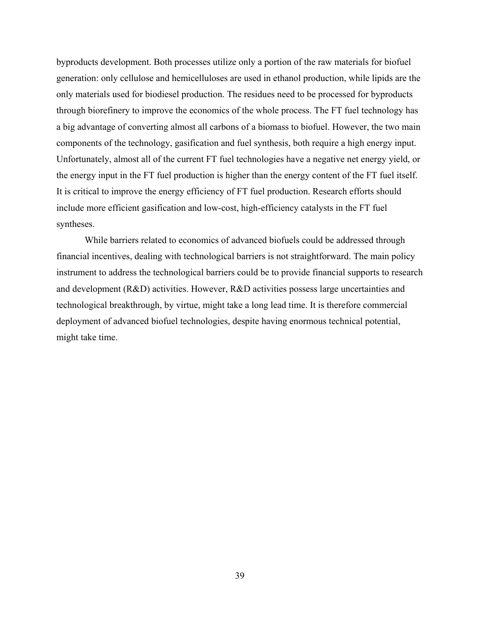byproducts development. Both processes utilize only a portion of the raw materials for biofuel generation: only cellulose and hemicelluloses are used in ethanol production, while lipids are the only materials used for biodiesel production. The residues need to be processed for byproducts through biorefinery to improve the economics of the whole process. The FT fuel technology has a big advantage of converting almost all carbons of a biomass to biofuel. However, the two main components of the technology, gasification and fuel synthesis, both require a high energy input. Unfortunately, almost all of the current FT fuel technologies have a negative net energy yield, or the energy input in the FT fuel production is higher than the energy content of the FT fuel itself. It is critical to improve the energy efficiency of FT fuel production. Research efforts should include more efficient gasification and low-cost, high-efficiency catalysts in the FT fuel syntheses.

While barriers related to economics of advanced biofuels could be addressed through financial incentives, dealing with technological barriers is not straightforward. The main policy instrument to address the technological barriers could be to provide financial supports to research and development (R&D) activities. However, R&D activities possess large uncertainties and technological breakthrough, by virtue, might take a long lead time. It is therefore commercial deployment of advanced biofuel technologies, despite having enormous technical potential, might take time.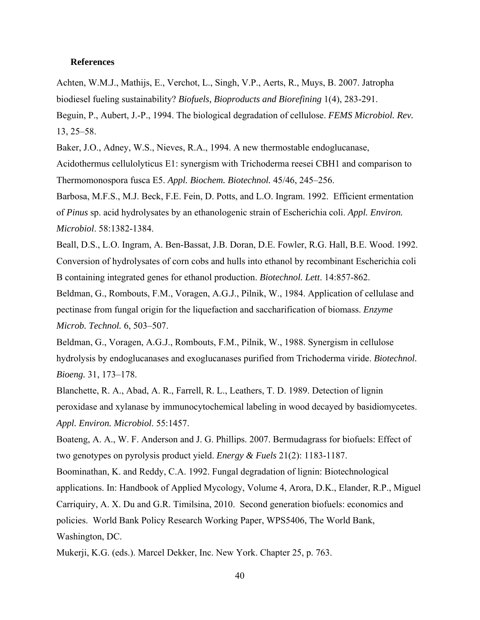#### **References**

Achten, W.M.J., Mathijs, E., Verchot, L., Singh, V.P., Aerts, R., Muys, B. 2007. Jatropha biodiesel fueling sustainability? *Biofuels, Bioproducts and Biorefining* 1(4), 283-291. Beguin, P., Aubert, J.-P., 1994. The biological degradation of cellulose. *FEMS Microbiol. Rev.*

13, 25–58.

Baker, J.O., Adney, W.S., Nieves, R.A., 1994. A new thermostable endoglucanase,

Acidothermus cellulolyticus E1: synergism with Trichoderma reesei CBH1 and comparison to Thermomonospora fusca E5. *Appl. Biochem. Biotechnol.* 45/46, 245–256.

Barbosa, M.F.S., M.J. Beck, F.E. Fein, D. Potts, and L.O. Ingram. 1992. Efficient ermentation of *Pinus* sp. acid hydrolysates by an ethanologenic strain of Escherichia coli. *Appl. Environ. Microbiol*. 58:1382-1384.

Beall, D.S., L.O. Ingram, A. Ben-Bassat, J.B. Doran, D.E. Fowler, R.G. Hall, B.E. Wood. 1992. Conversion of hydrolysates of corn cobs and hulls into ethanol by recombinant Escherichia coli B containing integrated genes for ethanol production. *Biotechnol. Lett*. 14:857-862.

Beldman, G., Rombouts, F.M., Voragen, A.G.J., Pilnik, W., 1984. Application of cellulase and pectinase from fungal origin for the liquefaction and saccharification of biomass. *Enzyme Microb. Technol.* 6, 503–507.

Beldman, G., Voragen, A.G.J., Rombouts, F.M., Pilnik, W., 1988. Synergism in cellulose hydrolysis by endoglucanases and exoglucanases purified from Trichoderma viride. *Biotechnol. Bioeng.* 31, 173–178.

Blanchette, R. A., Abad, A. R., Farrell, R. L., Leathers, T. D. 1989. Detection of lignin peroxidase and xylanase by immunocytochemical labeling in wood decayed by basidiomycetes. *Appl. Environ. Microbiol*. 55:1457.

Boateng, A. A., W. F. Anderson and J. G. Phillips. 2007. Bermudagrass for biofuels: Effect of two genotypes on pyrolysis product yield. *Energy & Fuels* 21(2): 1183-1187.

Boominathan, K. and Reddy, C.A. 1992. Fungal degradation of lignin: Biotechnological applications. In: Handbook of Applied Mycology, Volume 4, Arora, D.K., Elander, R.P., Miguel Carriquiry, A. X. Du and G.R. Timilsina, 2010. Second generation biofuels: economics and policies. World Bank Policy Research Working Paper, WPS5406, The World Bank, Washington, DC.

Mukerji, K.G. (eds.). Marcel Dekker, Inc. New York. Chapter 25, p. 763.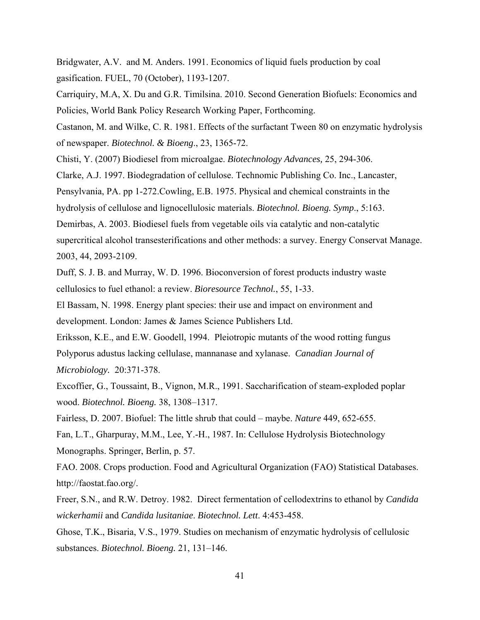Bridgwater, A.V. and M. Anders. 1991. Economics of liquid fuels production by coal gasification. FUEL, 70 (October), 1193-1207.

Carriquiry, M.A, X. Du and G.R. Timilsina. 2010. Second Generation Biofuels: Economics and Policies, World Bank Policy Research Working Paper, Forthcoming.

Castanon, M. and Wilke, C. R. 1981. Effects of the surfactant Tween 80 on enzymatic hydrolysis of newspaper. *Biotechnol. & Bioeng*., 23, 1365-72.

Chisti, Y. (2007) Biodiesel from microalgae. *Biotechnology Advances,* 25, 294-306.

Clarke, A.J. 1997. Biodegradation of cellulose. Technomic Publishing Co. Inc., Lancaster,

Pensylvania, PA. pp 1-272.Cowling, E.B. 1975. Physical and chemical constraints in the

hydrolysis of cellulose and lignocellulosic materials. *Biotechnol. Bioeng. Symp*., 5:163.

Demirbas, A. 2003. Biodiesel fuels from vegetable oils via catalytic and non-catalytic

supercritical alcohol transesterifications and other methods: a survey. Energy Conservat Manage. 2003, 44, 2093-2109.

Duff, S. J. B. and Murray, W. D. 1996. Bioconversion of forest products industry waste cellulosics to fuel ethanol: a review. *Bioresource Technol.*, 55, 1-33.

El Bassam, N. 1998. Energy plant species: their use and impact on environment and development. London: James & James Science Publishers Ltd.

Eriksson, K.E., and E.W. Goodell, 1994. Pleiotropic mutants of the wood rotting fungus Polyporus adustus lacking cellulase, mannanase and xylanase. *Canadian Journal of Microbiology.* 20:371-378.

Excoffier, G., Toussaint, B., Vignon, M.R., 1991. Saccharification of steam-exploded poplar wood. *Biotechnol. Bioeng.* 38, 1308–1317.

Fairless, D. 2007. Biofuel: The little shrub that could – maybe. *Nature* 449, 652-655.

Fan, L.T., Gharpuray, M.M., Lee, Y.-H., 1987. In: Cellulose Hydrolysis Biotechnology Monographs. Springer, Berlin, p. 57.

FAO. 2008. Crops production. Food and Agricultural Organization (FAO) Statistical Databases. http://faostat.fao.org/.

Freer, S.N., and R.W. Detroy. 1982. Direct fermentation of cellodextrins to ethanol by *Candida wickerhamii* and *Candida lusitaniae*. *Biotechnol. Lett*. 4:453-458.

Ghose, T.K., Bisaria, V.S., 1979. Studies on mechanism of enzymatic hydrolysis of cellulosic substances. *Biotechnol. Bioeng.* 21, 131–146.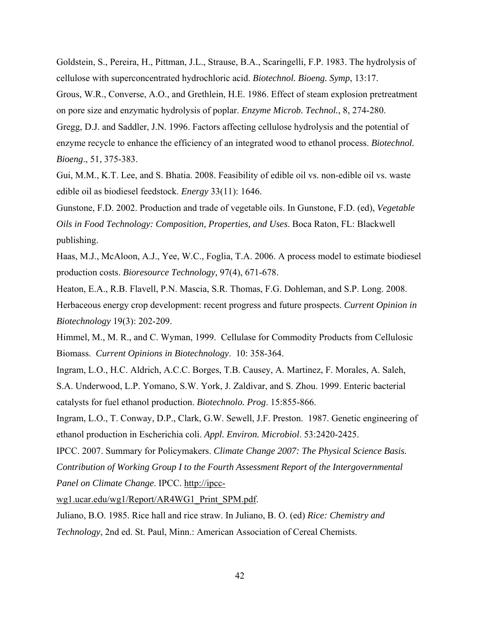Goldstein, S., Pereira, H., Pittman, J.L., Strause, B.A., Scaringelli, F.P. 1983. The hydrolysis of cellulose with superconcentrated hydrochloric acid. *Biotechnol. Bioeng. Symp*, 13:17.

Grous, W.R., Converse, A.O., and Grethlein, H.E. 1986. Effect of steam explosion pretreatment on pore size and enzymatic hydrolysis of poplar. *Enzyme Microb. Technol.*, 8, 274-280.

Gregg, D.J. and Saddler, J.N. 1996. Factors affecting cellulose hydrolysis and the potential of enzyme recycle to enhance the efficiency of an integrated wood to ethanol process. *Biotechnol. Bioeng*., 51, 375-383.

Gui, M.M., K.T. Lee, and S. Bhatia. 2008. Feasibility of edible oil vs. non-edible oil vs. waste edible oil as biodiesel feedstock. *Energy* 33(11): 1646.

Gunstone, F.D. 2002. Production and trade of vegetable oils. In Gunstone, F.D. (ed), *Vegetable Oils in Food Technology: Composition, Properties, and Uses*. Boca Raton, FL: Blackwell publishing.

Haas, M.J., McAloon, A.J., Yee, W.C., Foglia, T.A. 2006. A process model to estimate biodiesel production costs. *Bioresource Technology,* 97(4), 671-678.

Heaton, E.A., R.B. Flavell, P.N. Mascia, S.R. Thomas, F.G. Dohleman, and S.P. Long. 2008. Herbaceous energy crop development: recent progress and future prospects. *Current Opinion in Biotechnology* 19(3): 202-209.

Himmel, M., M. R., and C. Wyman, 1999. Cellulase for Commodity Products from Cellulosic Biomass. *Current Opinions in Biotechnology*. 10: 358-364.

Ingram, L.O., H.C. Aldrich, A.C.C. Borges, T.B. Causey, A. Martinez, F. Morales, A. Saleh, S.A. Underwood, L.P. Yomano, S.W. York, J. Zaldivar, and S. Zhou. 1999. Enteric bacterial catalysts for fuel ethanol production. *Biotechnolo. Prog*. 15:855-866.

Ingram, L.O., T. Conway, D.P., Clark, G.W. Sewell, J.F. Preston. 1987. Genetic engineering of ethanol production in Escherichia coli. *Appl. Environ. Microbiol*. 53:2420-2425.

IPCC. 2007. Summary for Policymakers. *Climate Change 2007: The Physical Science Basis. Contribution of Working Group I to the Fourth Assessment Report of the Intergovernmental Panel on Climate Change*. IPCC. http://ipcc-

wg1.ucar.edu/wg1/Report/AR4WG1\_Print\_SPM.pdf.

Juliano, B.O. 1985. Rice hall and rice straw. In Juliano, B. O. (ed) *Rice: Chemistry and Technology*, 2nd ed. St. Paul, Minn.: American Association of Cereal Chemists.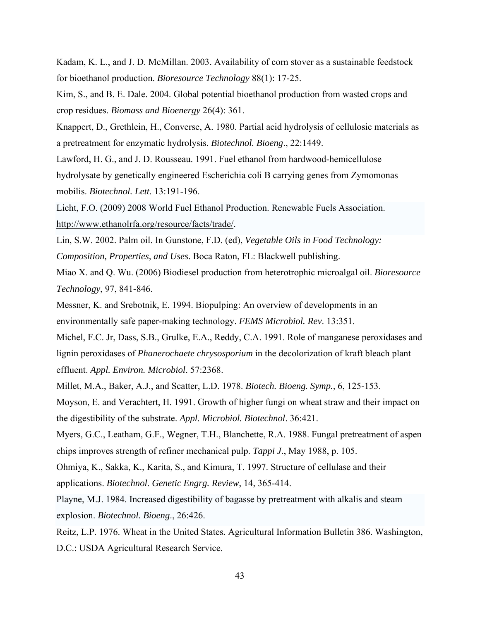Kadam, K. L., and J. D. McMillan. 2003. Availability of corn stover as a sustainable feedstock for bioethanol production. *Bioresource Technology* 88(1): 17-25.

Kim, S., and B. E. Dale. 2004. Global potential bioethanol production from wasted crops and crop residues. *Biomass and Bioenergy* 26(4): 361.

Knappert, D., Grethlein, H., Converse, A. 1980. Partial acid hydrolysis of cellulosic materials as a pretreatment for enzymatic hydrolysis. *Biotechnol. Bioeng*., 22:1449.

Lawford, H. G., and J. D. Rousseau. 1991. Fuel ethanol from hardwood-hemicellulose hydrolysate by genetically engineered Escherichia coli B carrying genes from Zymomonas mobilis. *Biotechnol. Lett*. 13:191-196.

Licht, F.O. (2009) 2008 World Fuel Ethanol Production. Renewable Fuels Association. http://www.ethanolrfa.org/resource/facts/trade/.

Lin, S.W. 2002. Palm oil. In Gunstone, F.D. (ed), *Vegetable Oils in Food Technology: Composition, Properties, and Uses*. Boca Raton, FL: Blackwell publishing.

Miao X. and Q. Wu. (2006) Biodiesel production from heterotrophic microalgal oil. *Bioresource Technology*, 97, 841-846.

Messner, K. and Srebotnik, E. 1994. Biopulping: An overview of developments in an environmentally safe paper-making technology. *FEMS Microbiol. Rev*. 13:351.

Michel, F.C. Jr, Dass, S.B., Grulke, E.A., Reddy, C.A. 1991. Role of manganese peroxidases and lignin peroxidases of *Phanerochaete chrysosporium* in the decolorization of kraft bleach plant effluent. *Appl. Environ. Microbiol*. 57:2368.

Millet, M.A., Baker, A.J., and Scatter, L.D. 1978. *Biotech. Bioeng. Symp.,* 6, 125-153.

Moyson, E. and Verachtert, H. 1991. Growth of higher fungi on wheat straw and their impact on the digestibility of the substrate. *Appl. Microbiol. Biotechnol*. 36:421.

Myers, G.C., Leatham, G.F., Wegner, T.H., Blanchette, R.A. 1988. Fungal pretreatment of aspen chips improves strength of refiner mechanical pulp. *Tappi J*., May 1988, p. 105.

Ohmiya, K., Sakka, K., Karita, S., and Kimura, T. 1997. Structure of cellulase and their applications. *Biotechnol. Genetic Engrg. Review*, 14, 365-414.

Playne, M.J. 1984. Increased digestibility of bagasse by pretreatment with alkalis and steam explosion. *Biotechnol. Bioeng*., 26:426.

Reitz, L.P. 1976. Wheat in the United States*.* Agricultural Information Bulletin 386. Washington, D.C.: USDA Agricultural Research Service.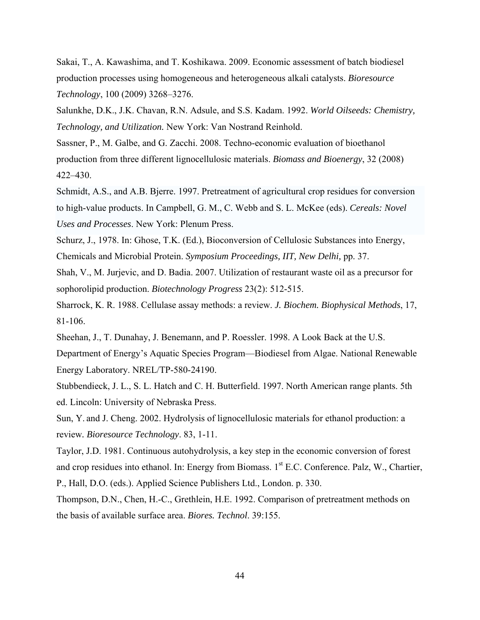Sakai, T., A. Kawashima, and T. Koshikawa. 2009. Economic assessment of batch biodiesel production processes using homogeneous and heterogeneous alkali catalysts. *Bioresource Technology*, 100 (2009) 3268–3276.

Salunkhe, D.K., J.K. Chavan, R.N. Adsule, and S.S. Kadam. 1992. *World Oilseeds: Chemistry, Technology, and Utilization.* New York: Van Nostrand Reinhold.

Sassner, P., M. Galbe, and G. Zacchi. 2008. Techno-economic evaluation of bioethanol production from three different lignocellulosic materials. *Biomass and Bioenergy*, 32 (2008) 422–430.

Schmidt, A.S., and A.B. Bjerre. 1997. Pretreatment of agricultural crop residues for conversion to high-value products. In Campbell, G. M., C. Webb and S. L. McKee (eds). *Cereals: Novel Uses and Processes*. New York: Plenum Press.

Schurz, J., 1978. In: Ghose, T.K. (Ed.), Bioconversion of Cellulosic Substances into Energy, Chemicals and Microbial Protein. *Symposium Proceedings, IIT, New Delhi,* pp. 37.

Shah, V., M. Jurjevic, and D. Badia. 2007. Utilization of restaurant waste oil as a precursor for sophorolipid production. *Biotechnology Progress* 23(2): 512-515.

Sharrock, K. R. 1988. Cellulase assay methods: a review. *J. Biochem. Biophysical Methods*, 17, 81-106.

Sheehan, J., T. Dunahay, J. Benemann, and P. Roessler. 1998. A Look Back at the U.S. Department of Energy's Aquatic Species Program—Biodiesel from Algae. National Renewable Energy Laboratory. NREL/TP-580-24190.

Stubbendieck, J. L., S. L. Hatch and C. H. Butterfield. 1997. North American range plants. 5th ed. Lincoln: University of Nebraska Press.

Sun, Y. and J. Cheng. 2002. Hydrolysis of lignocellulosic materials for ethanol production: a review*. Bioresource Technology*. 83, 1-11.

Taylor, J.D. 1981. Continuous autohydrolysis, a key step in the economic conversion of forest and crop residues into ethanol. In: Energy from Biomass. 1<sup>st</sup> E.C. Conference. Palz, W., Chartier, P., Hall, D.O. (eds.). Applied Science Publishers Ltd., London. p. 330.

Thompson, D.N., Chen, H.-C., Grethlein, H.E. 1992. Comparison of pretreatment methods on the basis of available surface area. *Biores. Technol*. 39:155.